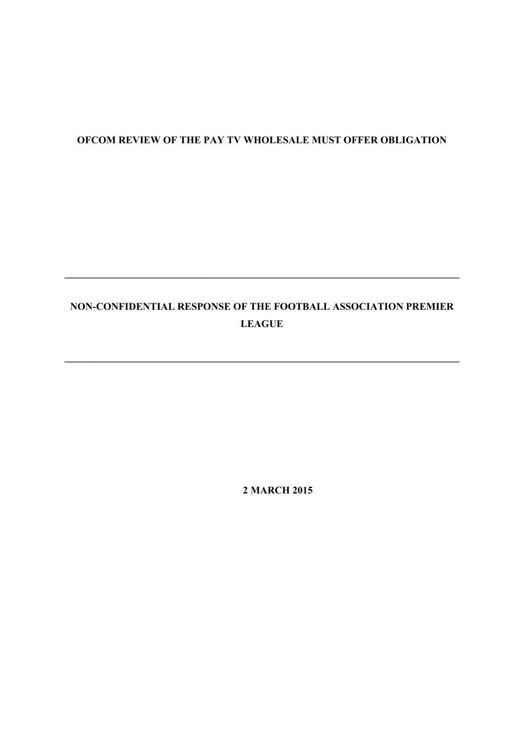# **OFCOM REVIEW OF THE PAY TV WHOLESALE MUST OFFER OBLIGATION**

# **NON-CONFIDENTIAL RESPONSE OF THE FOOTBALL ASSOCIATION PREMIER LEAGUE**

**\_\_\_\_\_\_\_\_\_\_\_\_\_\_\_\_\_\_\_\_\_\_\_\_\_\_\_\_\_\_\_\_\_\_\_\_\_\_\_\_\_\_\_\_\_\_\_\_\_\_\_\_\_\_\_\_\_\_\_\_\_\_\_\_\_\_\_\_\_\_\_\_\_\_\_\_\_\_**

**\_\_\_\_\_\_\_\_\_\_\_\_\_\_\_\_\_\_\_\_\_\_\_\_\_\_\_\_\_\_\_\_\_\_\_\_\_\_\_\_\_\_\_\_\_\_\_\_\_\_\_\_\_\_\_\_\_\_\_\_\_\_\_\_\_\_\_\_\_\_\_\_\_\_\_\_\_\_**

**2 MARCH 2015**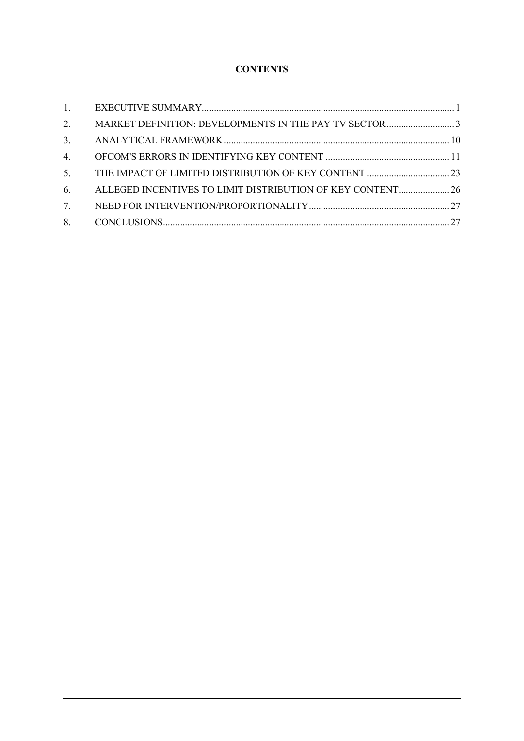# **CONTENTS**

| 1.                               |                                                            |  |
|----------------------------------|------------------------------------------------------------|--|
| 2.                               |                                                            |  |
| 3.                               |                                                            |  |
| 4.                               |                                                            |  |
| 5 <sub>1</sub>                   |                                                            |  |
| 6.                               | ALLEGED INCENTIVES TO LIMIT DISTRIBUTION OF KEY CONTENT 26 |  |
| $7_{\scriptscriptstyle{\ddots}}$ |                                                            |  |
|                                  |                                                            |  |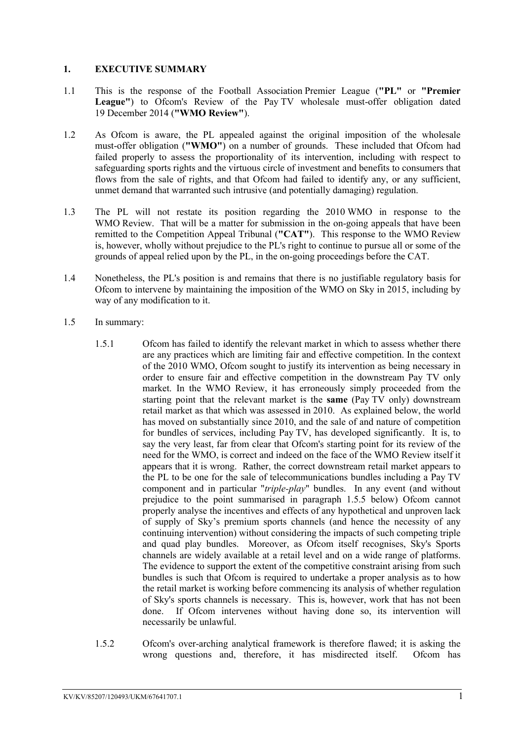#### <span id="page-2-0"></span>**1. EXECUTIVE SUMMARY**

- 1.1 This is the response of the Football Association Premier League (**"PL"** or **"Premier**  League") to Ofcom's Review of the Pay TV wholesale must-offer obligation dated 19 December 2014 (**"WMO Review"**).
- 1.2 As Ofcom is aware, the PL appealed against the original imposition of the wholesale must-offer obligation (**"WMO"**) on a number of grounds. These included that Ofcom had failed properly to assess the proportionality of its intervention, including with respect to safeguarding sports rights and the virtuous circle of investment and benefits to consumers that flows from the sale of rights, and that Ofcom had failed to identify any, or any sufficient, unmet demand that warranted such intrusive (and potentially damaging) regulation.
- 1.3 The PL will not restate its position regarding the 2010 WMO in response to the WMO Review. That will be a matter for submission in the on-going appeals that have been remitted to the Competition Appeal Tribunal (**"CAT"**). This response to the WMO Review is, however, wholly without prejudice to the PL's right to continue to pursue all or some of the grounds of appeal relied upon by the PL, in the on-going proceedings before the CAT.
- 1.4 Nonetheless, the PL's position is and remains that there is no justifiable regulatory basis for Ofcom to intervene by maintaining the imposition of the WMO on Sky in 2015, including by way of any modification to it.
- 1.5 In summary:
	- 1.5.1 Ofcom has failed to identify the relevant market in which to assess whether there are any practices which are limiting fair and effective competition. In the context of the 2010 WMO, Ofcom sought to justify its intervention as being necessary in order to ensure fair and effective competition in the downstream Pay TV only market. In the WMO Review, it has erroneously simply proceeded from the starting point that the relevant market is the **same** (Pay TV only) downstream retail market as that which was assessed in 2010. As explained below, the world has moved on substantially since 2010, and the sale of and nature of competition for bundles of services, including Pay TV, has developed significantly. It is, to say the very least, far from clear that Ofcom's starting point for its review of the need for the WMO, is correct and indeed on the face of the WMO Review itself it appears that it is wrong. Rather, the correct downstream retail market appears to the PL to be one for the sale of telecommunications bundles including a Pay TV component and in particular "*triple-play*" bundles. In any event (and without prejudice to the point summarised in paragraph 1.5.5 below) Ofcom cannot properly analyse the incentives and effects of any hypothetical and unproven lack of supply of Sky's premium sports channels (and hence the necessity of any continuing intervention) without considering the impacts of such competing triple and quad play bundles. Moreover, as Ofcom itself recognises, Sky's Sports channels are widely available at a retail level and on a wide range of platforms. The evidence to support the extent of the competitive constraint arising from such bundles is such that Ofcom is required to undertake a proper analysis as to how the retail market is working before commencing its analysis of whether regulation of Sky's sports channels is necessary. This is, however, work that has not been done. If Ofcom intervenes without having done so, its intervention will necessarily be unlawful.
	- 1.5.2 Ofcom's over-arching analytical framework is therefore flawed; it is asking the wrong questions and, therefore, it has misdirected itself. Ofcom has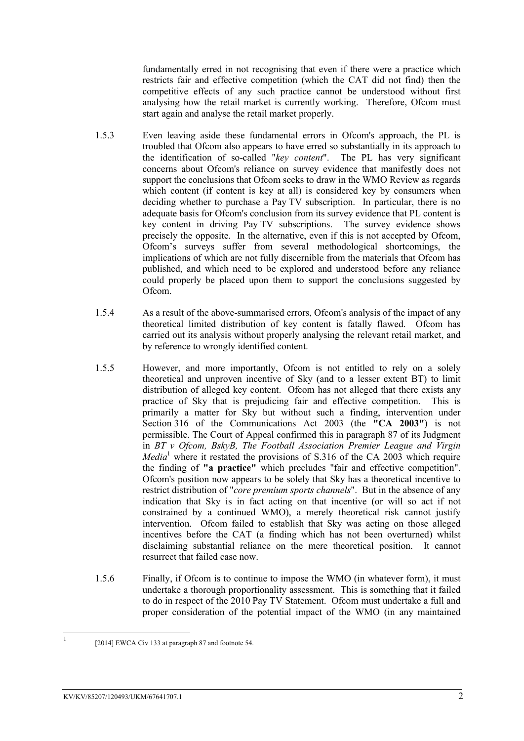fundamentally erred in not recognising that even if there were a practice which restricts fair and effective competition (which the CAT did not find) then the competitive effects of any such practice cannot be understood without first analysing how the retail market is currently working. Therefore, Ofcom must start again and analyse the retail market properly.

- 1.5.3 Even leaving aside these fundamental errors in Ofcom's approach, the PL is troubled that Ofcom also appears to have erred so substantially in its approach to the identification of so-called "*key content*". The PL has very significant concerns about Ofcom's reliance on survey evidence that manifestly does not support the conclusions that Ofcom seeks to draw in the WMO Review as regards which content (if content is key at all) is considered key by consumers when deciding whether to purchase a Pay TV subscription. In particular, there is no adequate basis for Ofcom's conclusion from its survey evidence that PL content is key content in driving Pay TV subscriptions. The survey evidence shows precisely the opposite. In the alternative, even if this is not accepted by Ofcom, Ofcom's surveys suffer from several methodological shortcomings, the implications of which are not fully discernible from the materials that Ofcom has published, and which need to be explored and understood before any reliance could properly be placed upon them to support the conclusions suggested by Ofcom.
- 1.5.4 As a result of the above-summarised errors, Ofcom's analysis of the impact of any theoretical limited distribution of key content is fatally flawed. Ofcom has carried out its analysis without properly analysing the relevant retail market, and by reference to wrongly identified content.
- 1.5.5 However, and more importantly, Ofcom is not entitled to rely on a solely theoretical and unproven incentive of Sky (and to a lesser extent BT) to limit distribution of alleged key content. Of com has not alleged that there exists any practice of Sky that is prejudicing fair and effective competition. This is primarily a matter for Sky but without such a finding, intervention under Section 316 of the Communications Act 2003 (the **"CA 2003"**) is not permissible. The Court of Appeal confirmed this in paragraph 87 of its Judgment in *BT v Ofcom, BskyB, The Football Association Premier League and Virgin Media*<sup>1</sup> where it restated the provisions of S.316 of the CA 2003 which require the finding of **"a practice"** which precludes "fair and effective competition". Ofcom's position now appears to be solely that Sky has a theoretical incentive to restrict distribution of "*core premium sports channels*". But in the absence of any indication that Sky is in fact acting on that incentive (or will so act if not constrained by a continued WMO), a merely theoretical risk cannot justify intervention. Ofcom failed to establish that Sky was acting on those alleged incentives before the CAT (a finding which has not been overturned) whilst disclaiming substantial reliance on the mere theoretical position. It cannot resurrect that failed case now.
- 1.5.6 Finally, if Ofcom is to continue to impose the WMO (in whatever form), it must undertake a thorough proportionality assessment. This is something that it failed to do in respect of the 2010 Pay TV Statement. Ofcom must undertake a full and proper consideration of the potential impact of the WMO (in any maintained

 $\frac{1}{1}$ 

<sup>[2014]</sup> EWCA Civ 133 at paragraph 87 and footnote 54.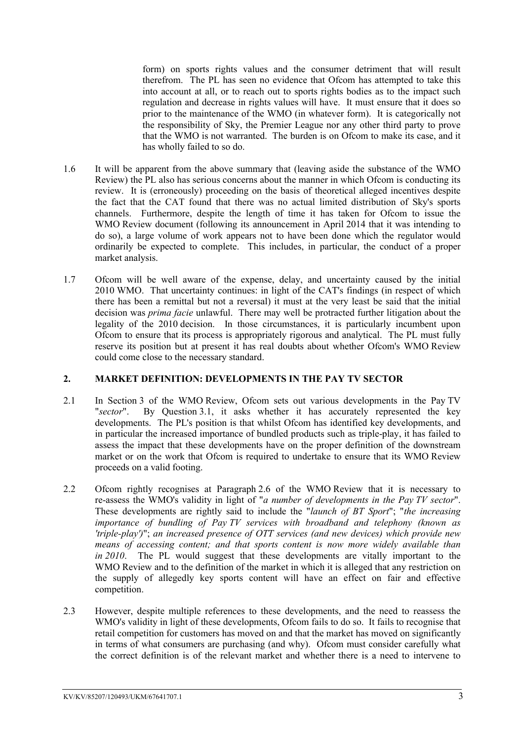form) on sports rights values and the consumer detriment that will result therefrom. The PL has seen no evidence that Ofcom has attempted to take this into account at all, or to reach out to sports rights bodies as to the impact such regulation and decrease in rights values will have. It must ensure that it does so prior to the maintenance of the WMO (in whatever form). It is categorically not the responsibility of Sky, the Premier League nor any other third party to prove that the WMO is not warranted. The burden is on Ofcom to make its case, and it has wholly failed to so do.

- 1.6 It will be apparent from the above summary that (leaving aside the substance of the WMO Review) the PL also has serious concerns about the manner in which Ofcom is conducting its review. It is (erroneously) proceeding on the basis of theoretical alleged incentives despite the fact that the CAT found that there was no actual limited distribution of Sky's sports channels. Furthermore, despite the length of time it has taken for Ofcom to issue the WMO Review document (following its announcement in April 2014 that it was intending to do so), a large volume of work appears not to have been done which the regulator would ordinarily be expected to complete. This includes, in particular, the conduct of a proper market analysis.
- 1.7 Ofcom will be well aware of the expense, delay, and uncertainty caused by the initial 2010 WMO. That uncertainty continues: in light of the CAT's findings (in respect of which there has been a remittal but not a reversal) it must at the very least be said that the initial decision was *prima facie* unlawful. There may well be protracted further litigation about the legality of the 2010 decision. In those circumstances, it is particularly incumbent upon Ofcom to ensure that its process is appropriately rigorous and analytical. The PL must fully reserve its position but at present it has real doubts about whether Ofcom's WMO Review could come close to the necessary standard.

### <span id="page-4-0"></span>**2. MARKET DEFINITION: DEVELOPMENTS IN THE PAY TV SECTOR**

- 2.1 In Section 3 of the WMO Review, Ofcom sets out various developments in the Pay TV "*sector*". By Question 3.1, it asks whether it has accurately represented the key developments. The PL's position is that whilst Ofcom has identified key developments, and in particular the increased importance of bundled products such as triple-play, it has failed to assess the impact that these developments have on the proper definition of the downstream market or on the work that Ofcom is required to undertake to ensure that its WMO Review proceeds on a valid footing.
- 2.2 Ofcom rightly recognises at Paragraph 2.6 of the WMO Review that it is necessary to re-assess the WMO's validity in light of "*a number of developments in the Pay TV sector*". These developments are rightly said to include the "*launch of BT Sport*"; "*the increasing importance of bundling of Pay TV services with broadband and telephony (known as 'triple-play')*"; *an increased presence of OTT services (and new devices) which provide new means of accessing content; and that sports content is now more widely available than in 2010*. The PL would suggest that these developments are vitally important to the WMO Review and to the definition of the market in which it is alleged that any restriction on the supply of allegedly key sports content will have an effect on fair and effective competition.
- 2.3 However, despite multiple references to these developments, and the need to reassess the WMO's validity in light of these developments. Of come fails to do so. It fails to recognise that retail competition for customers has moved on and that the market has moved on significantly in terms of what consumers are purchasing (and why). Ofcom must consider carefully what the correct definition is of the relevant market and whether there is a need to intervene to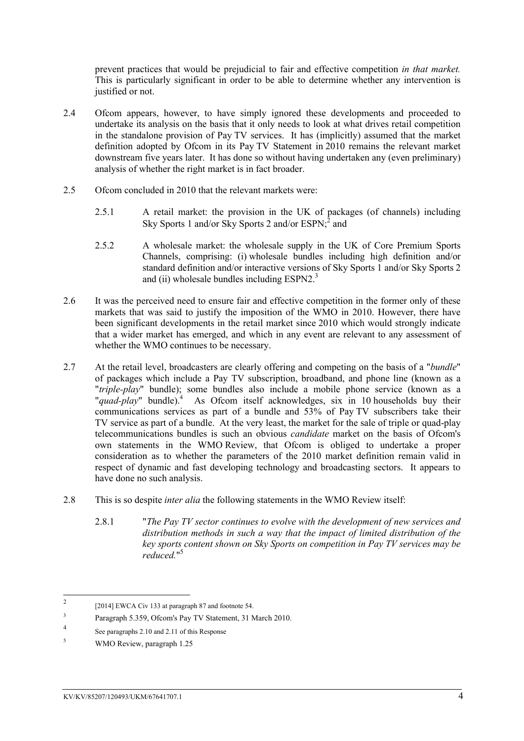prevent practices that would be prejudicial to fair and effective competition *in that market.*  This is particularly significant in order to be able to determine whether any intervention is justified or not.

- 2.4 Ofcom appears, however, to have simply ignored these developments and proceeded to undertake its analysis on the basis that it only needs to look at what drives retail competition in the standalone provision of Pay TV services. It has (implicitly) assumed that the market definition adopted by Ofcom in its Pay TV Statement in 2010 remains the relevant market downstream five years later. It has done so without having undertaken any (even preliminary) analysis of whether the right market is in fact broader.
- 2.5 Ofcom concluded in 2010 that the relevant markets were:
	- 2.5.1 A retail market: the provision in the UK of packages (of channels) including Sky Sports 1 and/or Sky Sports 2 and/or  $ESPN<sub>i</sub><sup>2</sup>$  and
	- 2.5.2 A wholesale market: the wholesale supply in the UK of Core Premium Sports Channels, comprising: (i) wholesale bundles including high definition and/or standard definition and/or interactive versions of Sky Sports 1 and/or Sky Sports 2 and (ii) wholesale bundles including ESPN2.<sup>3</sup>
- 2.6 It was the perceived need to ensure fair and effective competition in the former only of these markets that was said to justify the imposition of the WMO in 2010. However, there have been significant developments in the retail market since 2010 which would strongly indicate that a wider market has emerged, and which in any event are relevant to any assessment of whether the WMO continues to be necessary.
- 2.7 At the retail level, broadcasters are clearly offering and competing on the basis of a "*bundle*" of packages which include a Pay TV subscription, broadband, and phone line (known as a "*triple-play*" bundle); some bundles also include a mobile phone service (known as a "*quad-play*" bundle).<sup>4</sup> As Ofcom itself acknowledges, six in 10 households buy their communications services as part of a bundle and 53% of Pay TV subscribers take their TV service as part of a bundle. At the very least, the market for the sale of triple or quad-play telecommunications bundles is such an obvious *candidate* market on the basis of Ofcom's own statements in the WMO Review, that Ofcom is obliged to undertake a proper consideration as to whether the parameters of the 2010 market definition remain valid in respect of dynamic and fast developing technology and broadcasting sectors. It appears to have done no such analysis.
- 2.8 This is so despite *inter alia* the following statements in the WMO Review itself:
	- 2.8.1 "*The Pay TV sector continues to evolve with the development of new services and distribution methods in such a way that the impact of limited distribution of the key sports content shown on Sky Sports on competition in Pay TV services may be reduced.*" 5

 $\frac{1}{2}$ [2014] EWCA Civ 133 at paragraph 87 and footnote 54.

<sup>3</sup> Paragraph 5.359, Ofcom's Pay TV Statement, 31 March 2010.

<sup>4</sup> See paragraphs 2.10 and 2.11 of this Response

<sup>5</sup> WMO Review, paragraph 1.25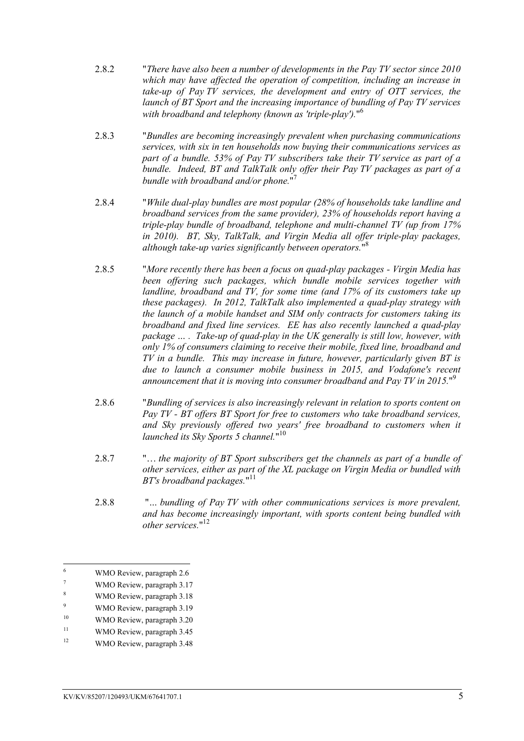- 2.8.2 "*There have also been a number of developments in the Pay TV sector since 2010 which may have affected the operation of competition, including an increase in take-up of Pay TV services, the development and entry of OTT services, the launch of BT Sport and the increasing importance of bundling of Pay TV services with broadband and telephony (known as 'triple-play').*" 6
- 2.8.3 "*Bundles are becoming increasingly prevalent when purchasing communications services, with six in ten households now buying their communications services as part of a bundle. 53% of Pay TV subscribers take their TV service as part of a bundle. Indeed, BT and TalkTalk only offer their Pay TV packages as part of a bundle with broadband and/or phone.*" 7
- 2.8.4 "*While dual-play bundles are most popular (28% of households take landline and broadband services from the same provider), 23% of households report having a triple-play bundle of broadband, telephone and multi-channel TV (up from 17% in 2010). BT, Sky, TalkTalk, and Virgin Media all offer triple-play packages, although take-up varies significantly between operators.*" 8
- 2.8.5 "*More recently there has been a focus on quad-play packages - Virgin Media has been offering such packages, which bundle mobile services together with landline, broadband and TV, for some time (and 17% of its customers take up these packages). In 2012, TalkTalk also implemented a quad-play strategy with the launch of a mobile handset and SIM only contracts for customers taking its broadband and fixed line services. EE has also recently launched a quad-play package … . Take-up of quad-play in the UK generally is still low, however, with only 1% of consumers claiming to receive their mobile, fixed line, broadband and TV in a bundle. This may increase in future, however, particularly given BT is due to launch a consumer mobile business in 2015, and Vodafone's recent announcement that it is moving into consumer broadband and Pay TV in 2015.*" 9
- 2.8.6 "*Bundling of services is also increasingly relevant in relation to sports content on Pay TV - BT offers BT Sport for free to customers who take broadband services,*  and Sky previously offered two years' free broadband to customers when it *launched its Sky Sports 5 channel.*" 10
- 2.8.7 "… *the majority of BT Sport subscribers get the channels as part of a bundle of other services, either as part of the XL package on Virgin Media or bundled with BT's broadband packages.*" 11
- 2.8.8 "*… bundling of Pay TV with other communications services is more prevalent, and has become increasingly important, with sports content being bundled with other services.*" 12

<sup>6</sup>  $\frac{6}{7}$  WMO Review, paragraph 2.6

WMO Review, paragraph 3.17

<sup>8</sup> WMO Review, paragraph 3.18

<sup>9</sup> WMO Review, paragraph 3.19

<sup>&</sup>lt;sup>10</sup> WMO Review, paragraph 3.20

<sup>&</sup>lt;sup>11</sup> WMO Review, paragraph 3.45

<sup>&</sup>lt;sup>12</sup> WMO Review, paragraph 3.48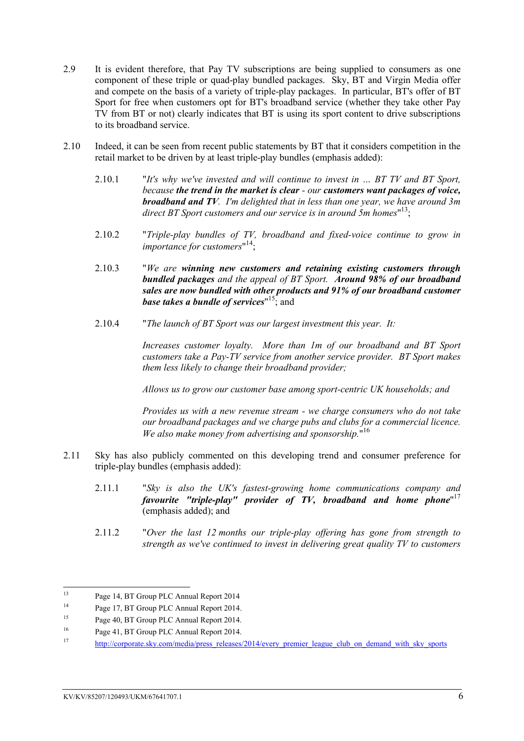- 2.9 It is evident therefore, that Pay TV subscriptions are being supplied to consumers as one component of these triple or quad-play bundled packages. Sky, BT and Virgin Media offer and compete on the basis of a variety of triple-play packages. In particular, BT's offer of BT Sport for free when customers opt for BT's broadband service (whether they take other Pay TV from BT or not) clearly indicates that BT is using its sport content to drive subscriptions to its broadband service.
- 2.10 Indeed, it can be seen from recent public statements by BT that it considers competition in the retail market to be driven by at least triple-play bundles (emphasis added):
	- 2.10.1 "*It's why we've invested and will continue to invest in … BT TV and BT Sport, because the trend in the market is clear - our customers want packages of voice, broadband and TV. I'm delighted that in less than one year, we have around 3m*  direct BT Sport customers and our service is in around 5m homes"<sup>13</sup>;
	- 2.10.2 "*Triple-play bundles of TV, broadband and fixed-voice continue to grow in importance for customers*" 14;
	- 2.10.3 "*We are winning new customers and retaining existing customers through bundled packages and the appeal of BT Sport. Around 98% of our broadband sales are now bundled with other products and 91% of our broadband customer base takes a bundle of services*" <sup>15</sup>; and
	- 2.10.4 "*The launch of BT Sport was our largest investment this year. It:*

*Increases customer loyalty. More than 1m of our broadband and BT Sport customers take a Pay-TV service from another service provider. BT Sport makes them less likely to change their broadband provider;* 

*Allows us to grow our customer base among sport-centric UK households; and* 

*Provides us with a new revenue stream - we charge consumers who do not take our broadband packages and we charge pubs and clubs for a commercial licence. We also make money from advertising and sponsorship.*" 16

- 2.11 Sky has also publicly commented on this developing trend and consumer preference for triple-play bundles (emphasis added):
	- 2.11.1 "*Sky is also the UK's fastest-growing home communications company and*  favourite "triple-play" provider of TV, broadband and home phone"<sup>17</sup> (emphasis added); and
	- 2.11.2 "*Over the last 12 months our triple-play offering has gone from strength to strength as we've continued to invest in delivering great quality TV to customers*

 $13$ <sup>13</sup> Page 14, BT Group PLC Annual Report 2014

<sup>&</sup>lt;sup>14</sup> Page 17, BT Group PLC Annual Report 2014.

<sup>&</sup>lt;sup>15</sup> Page 40, BT Group PLC Annual Report 2014.

<sup>16</sup> Page 41, BT Group PLC Annual Report 2014.

<sup>&</sup>lt;sup>17</sup> http://corporate.sky.com/media/press\_releases/2014/every\_premier\_league\_club\_on\_demand\_with\_sky\_sports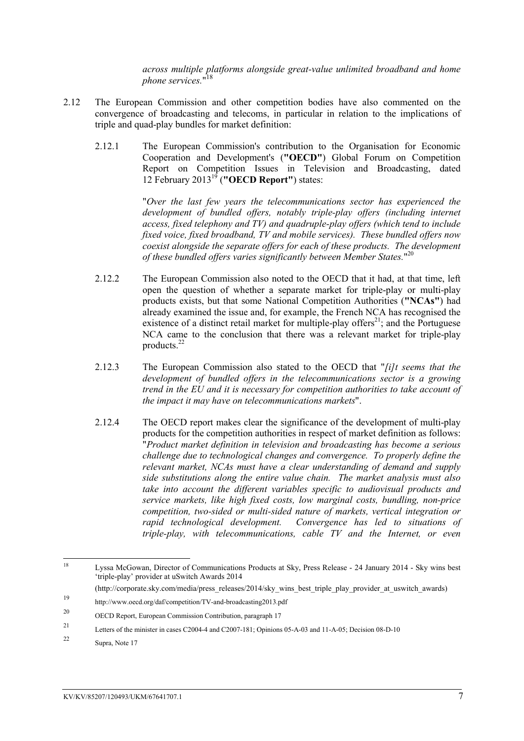*across multiple platforms alongside great-value unlimited broadband and home phone services.*" 18

- 2.12 The European Commission and other competition bodies have also commented on the convergence of broadcasting and telecoms, in particular in relation to the implications of triple and quad-play bundles for market definition:
	- 2.12.1 The European Commission's contribution to the Organisation for Economic Cooperation and Development's (**"OECD"**) Global Forum on Competition Report on Competition Issues in Television and Broadcasting, dated 12 February 2013<sup>19</sup> (**"OECD Report"**) states:

"*Over the last few years the telecommunications sector has experienced the*  development of bundled offers, notably triple-play offers (including internet *access, fixed telephony and TV) and quadruple-play offers (which tend to include fixed voice, fixed broadband, TV and mobile services). These bundled offers now coexist alongside the separate offers for each of these products. The development of these bundled offers varies significantly between Member States.*" 20

- 2.12.2 The European Commission also noted to the OECD that it had, at that time, left open the question of whether a separate market for triple-play or multi-play products exists, but that some National Competition Authorities (**"NCAs"**) had already examined the issue and, for example, the French NCA has recognised the existence of a distinct retail market for multiple-play offers<sup>21</sup>; and the Portuguese NCA came to the conclusion that there was a relevant market for triple-play products.<sup>22</sup>
- 2.12.3 The European Commission also stated to the OECD that "*[i]t seems that the development of bundled offers in the telecommunications sector is a growing trend in the EU and it is necessary for competition authorities to take account of the impact it may have on telecommunications markets*".
- 2.12.4 The OECD report makes clear the significance of the development of multi-play products for the competition authorities in respect of market definition as follows: "*Product market definition in television and broadcasting has become a serious challenge due to technological changes and convergence. To properly define the relevant market, NCAs must have a clear understanding of demand and supply side substitutions along the entire value chain. The market analysis must also take into account the different variables specific to audiovisual products and service markets, like high fixed costs, low marginal costs, bundling, non-price competition, two-sided or multi-sided nature of markets, vertical integration or rapid technological development. Convergence has led to situations of triple-play, with telecommunications, cable TV and the Internet, or even*

<sup>18</sup> <sup>18</sup> Lyssa McGowan, Director of Communications Products at Sky, Press Release - 24 January 2014 - Sky wins best 'triple-play' provider at uSwitch Awards 2014

<sup>(</sup>http://corporate.sky.com/media/press\_releases/2014/sky\_wins\_best\_triple\_play\_provider\_at\_uswitch\_awards)

<sup>19</sup> http://www.oecd.org/daf/competition/TV-and-broadcasting2013.pdf

<sup>20</sup> OECD Report, European Commission Contribution, paragraph 17

<sup>21</sup> Letters of the minister in cases C2004-4 and C2007-181; Opinions 05-A-03 and 11-A-05; Decision 08-D-10

<sup>22</sup> Supra, Note 17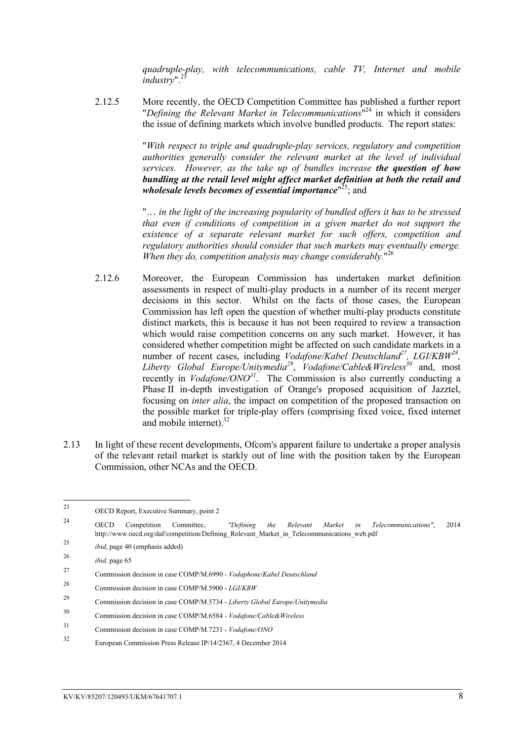*quadruple-play, with telecommunications, cable TV, Internet and mobile industry*".<sup>2</sup>

2.12.5 More recently, the OECD Competition Committee has published a further report "*Defining the Relevant Market in Telecommunications*" <sup>24</sup> in which it considers the issue of defining markets which involve bundled products. The report states:

> "*With respect to triple and quadruple-play services, regulatory and competition authorities generally consider the relevant market at the level of individual services. However, as the take up of bundles increase the question of how bundling at the retail level might affect market definition at both the retail and*  wholesale levels becomes of essential importance"<sup>25</sup>; and

> "… *in the light of the increasing popularity of bundled offers it has to be stressed that even if conditions of competition in a given market do not support the existence of a separate relevant market for such offers, competition and regulatory authorities should consider that such markets may eventually emerge. When they do, competition analysis may change considerably.*" 26

- 2.12.6 Moreover, the European Commission has undertaken market definition assessments in respect of multi-play products in a number of its recent merger decisions in this sector. Whilst on the facts of those cases, the European Commission has left open the question of whether multi-play products constitute distinct markets, this is because it has not been required to review a transaction which would raise competition concerns on any such market. However, it has considered whether competition might be affected on such candidate markets in a number of recent cases, including *Vodafone/Kabel Deutschland<sup>27</sup>*, *LGI/KBW<sup>28</sup>*, *Liberty Global Europe/Unitymedia<sup>29</sup>* , *Vodafone/Cable&Wireless<sup>30</sup>* and, most recently in *Vodafone/ONO<sup>31</sup>* . The Commission is also currently conducting a Phase II in-depth investigation of Orange's proposed acquisition of Jazztel, focusing on *inter alia*, the impact on competition of the proposed transaction on the possible market for triple-play offers (comprising fixed voice, fixed internet and mobile internet). $32$
- 2.13 In light of these recent developments, Ofcom's apparent failure to undertake a proper analysis of the relevant retail market is starkly out of line with the position taken by the European Commission, other NCAs and the OECD.

- <sup>24</sup> OECD Competition Committee, *"Defining the Relevant Market in Telecommunications"*, 2014 http://www.oecd.org/daf/competition/Defining\_Relevant\_Market\_in\_Telecommunications\_web.pdf
- <sup>25</sup> *ibid*, page 40 (emphasis added)

 $23$ OECD Report, Executive Summary, point 2

<sup>26</sup> *ibid,* page 65

<sup>27</sup> Commission decision in case COMP/M.6990 - *Vodaphone/Kabel Deutschland*

<sup>28</sup> Commission decision in case COMP/M.5900 - *LGI/KBW*

<sup>29</sup> Commission decision in case COMP/M.5734 - *Liberty Global Europe/Unitymedia*

<sup>30</sup> Commission decision in case COMP/M.6584 - *Vodafone/Cable&Wireless*

<sup>31</sup> Commission decision in case COMP/M.7231 - *Vodafone/ONO*

<sup>32</sup> European Commission Press Release IP/14/2367, 4 December 2014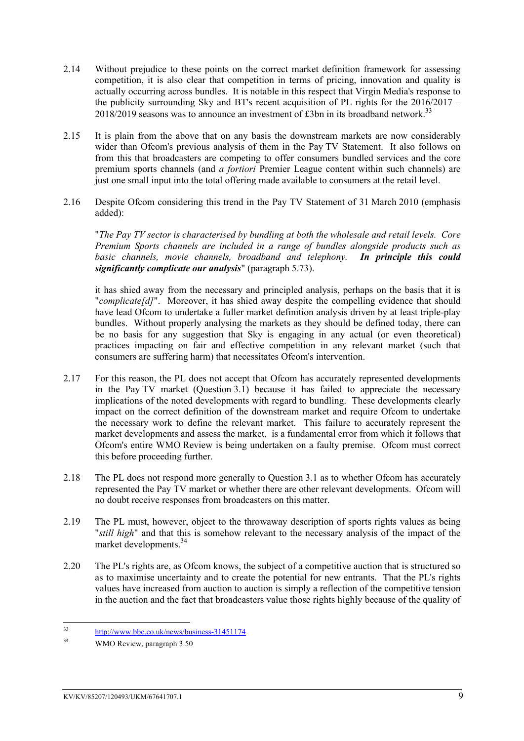- 2.14 Without prejudice to these points on the correct market definition framework for assessing competition, it is also clear that competition in terms of pricing, innovation and quality is actually occurring across bundles. It is notable in this respect that Virgin Media's response to the publicity surrounding Sky and BT's recent acquisition of PL rights for the  $2016/2017 -$ 2018/2019 seasons was to announce an investment of £3bn in its broadband network.<sup>33</sup>
- 2.15 It is plain from the above that on any basis the downstream markets are now considerably wider than Ofcom's previous analysis of them in the Pay TV Statement. It also follows on from this that broadcasters are competing to offer consumers bundled services and the core premium sports channels (and *a fortiori* Premier League content within such channels) are just one small input into the total offering made available to consumers at the retail level.
- 2.16 Despite Ofcom considering this trend in the Pay TV Statement of 31 March 2010 (emphasis added):

"*The Pay TV sector is characterised by bundling at both the wholesale and retail levels. Core Premium Sports channels are included in a range of bundles alongside products such as basic channels, movie channels, broadband and telephony. In principle this could significantly complicate our analysis*" (paragraph 5.73).

it has shied away from the necessary and principled analysis, perhaps on the basis that it is "*complicate[d]*". Moreover, it has shied away despite the compelling evidence that should have lead Ofcom to undertake a fuller market definition analysis driven by at least triple-play bundles. Without properly analysing the markets as they should be defined today, there can be no basis for any suggestion that Sky is engaging in any actual (or even theoretical) practices impacting on fair and effective competition in any relevant market (such that consumers are suffering harm) that necessitates Ofcom's intervention.

- 2.17 For this reason, the PL does not accept that Ofcom has accurately represented developments in the Pay TV market (Question 3.1) because it has failed to appreciate the necessary implications of the noted developments with regard to bundling. These developments clearly impact on the correct definition of the downstream market and require Ofcom to undertake the necessary work to define the relevant market. This failure to accurately represent the market developments and assess the market, is a fundamental error from which it follows that Ofcom's entire WMO Review is being undertaken on a faulty premise. Ofcom must correct this before proceeding further.
- 2.18 The PL does not respond more generally to Question 3.1 as to whether Ofcom has accurately represented the Pay TV market or whether there are other relevant developments. Ofcom will no doubt receive responses from broadcasters on this matter.
- 2.19 The PL must, however, object to the throwaway description of sports rights values as being "*still high*" and that this is somehow relevant to the necessary analysis of the impact of the market developments.<sup>34</sup>
- 2.20 The PL's rights are, as Ofcom knows, the subject of a competitive auction that is structured so as to maximise uncertainty and to create the potential for new entrants. That the PL's rights values have increased from auction to auction is simply a reflection of the competitive tension in the auction and the fact that broadcasters value those rights highly because of the quality of

 $33$  $\frac{\text{http://www.bbc.co.uk/news/business-31451174}}{\text{WMAO Review necessary 250}}$ 

WMO Review, paragraph 3.50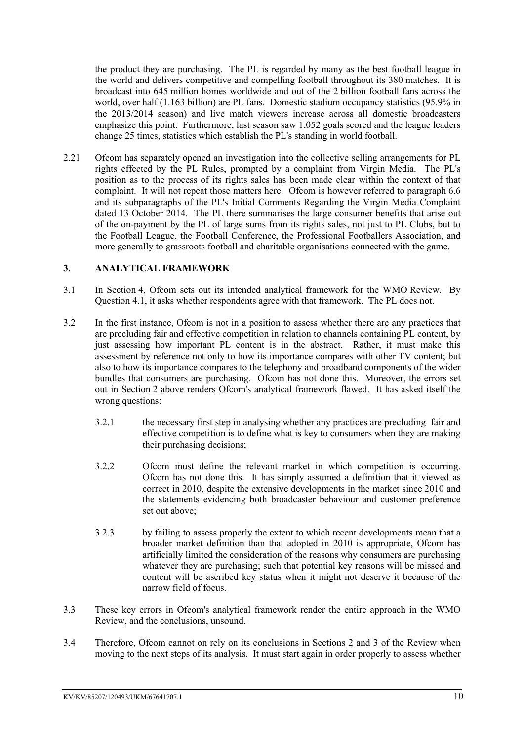the product they are purchasing. The PL is regarded by many as the best football league in the world and delivers competitive and compelling football throughout its 380 matches. It is broadcast into 645 million homes worldwide and out of the 2 billion football fans across the world, over half (1.163 billion) are PL fans. Domestic stadium occupancy statistics (95.9% in the 2013/2014 season) and live match viewers increase across all domestic broadcasters emphasize this point. Furthermore, last season saw 1,052 goals scored and the league leaders change 25 times, statistics which establish the PL's standing in world football.

2.21 Ofcom has separately opened an investigation into the collective selling arrangements for PL rights effected by the PL Rules, prompted by a complaint from Virgin Media. The PL's position as to the process of its rights sales has been made clear within the context of that complaint. It will not repeat those matters here. Ofcom is however referred to paragraph 6.6 and its subparagraphs of the PL's Initial Comments Regarding the Virgin Media Complaint dated 13 October 2014. The PL there summarises the large consumer benefits that arise out of the on-payment by the PL of large sums from its rights sales, not just to PL Clubs, but to the Football League, the Football Conference, the Professional Footballers Association, and more generally to grassroots football and charitable organisations connected with the game.

### <span id="page-11-0"></span>**3. ANALYTICAL FRAMEWORK**

- 3.1 In Section 4, Ofcom sets out its intended analytical framework for the WMO Review. By Question 4.1, it asks whether respondents agree with that framework. The PL does not.
- 3.2 In the first instance, Ofcom is not in a position to assess whether there are any practices that are precluding fair and effective competition in relation to channels containing PL content, by just assessing how important PL content is in the abstract. Rather, it must make this assessment by reference not only to how its importance compares with other TV content; but also to how its importance compares to the telephony and broadband components of the wider bundles that consumers are purchasing. Ofcom has not done this. Moreover, the errors set out in Section 2 above renders Ofcom's analytical framework flawed. It has asked itself the wrong questions:
	- 3.2.1 the necessary first step in analysing whether any practices are precluding fair and effective competition is to define what is key to consumers when they are making their purchasing decisions;
	- 3.2.2 Ofcom must define the relevant market in which competition is occurring. Ofcom has not done this. It has simply assumed a definition that it viewed as correct in 2010, despite the extensive developments in the market since 2010 and the statements evidencing both broadcaster behaviour and customer preference set out above;
	- 3.2.3 by failing to assess properly the extent to which recent developments mean that a broader market definition than that adopted in 2010 is appropriate, Ofcom has artificially limited the consideration of the reasons why consumers are purchasing whatever they are purchasing; such that potential key reasons will be missed and content will be ascribed key status when it might not deserve it because of the narrow field of focus.
- 3.3 These key errors in Ofcom's analytical framework render the entire approach in the WMO Review, and the conclusions, unsound.
- 3.4 Therefore, Ofcom cannot on rely on its conclusions in Sections 2 and 3 of the Review when moving to the next steps of its analysis. It must start again in order properly to assess whether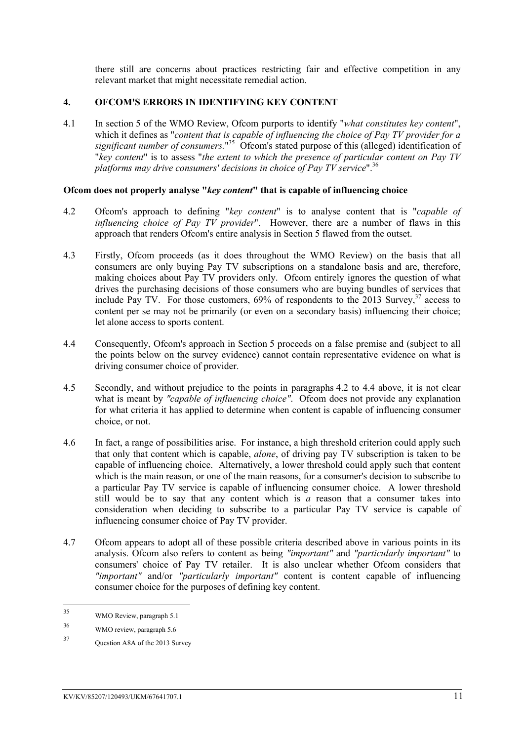there still are concerns about practices restricting fair and effective competition in any relevant market that might necessitate remedial action.

#### <span id="page-12-0"></span>**4. OFCOM'S ERRORS IN IDENTIFYING KEY CONTENT**

4.1 In section 5 of the WMO Review, Ofcom purports to identify "*what constitutes key content*", which it defines as "*content that is capable of influencing the choice of Pay TV provider for a*  significant number of consumers."<sup>35</sup> Ofcom's stated purpose of this (alleged) identification of "*key content*" is to assess "*the extent to which the presence of particular content on Pay TV platforms may drive consumers' decisions in choice of Pay TV service*".<sup>36</sup>

#### **Ofcom does not properly analyse "***key content***" that is capable of influencing choice**

- 4.2 Ofcom's approach to defining "*key content*" is to analyse content that is "*capable of influencing choice of Pay TV provider*". However, there are a number of flaws in this approach that renders Ofcom's entire analysis in Section 5 flawed from the outset.
- 4.3 Firstly, Ofcom proceeds (as it does throughout the WMO Review) on the basis that all consumers are only buying Pay TV subscriptions on a standalone basis and are, therefore, making choices about Pay TV providers only. Of come ntirely ignores the question of what drives the purchasing decisions of those consumers who are buying bundles of services that include Pay TV. For those customers,  $69\%$  of respondents to the 2013 Survey,  $37$  access to content per se may not be primarily (or even on a secondary basis) influencing their choice; let alone access to sports content.
- 4.4 Consequently, Ofcom's approach in Section 5 proceeds on a false premise and (subject to all the points below on the survey evidence) cannot contain representative evidence on what is driving consumer choice of provider.
- 4.5 Secondly, and without prejudice to the points in paragraphs 4.2 to 4.4 above, it is not clear what is meant by "capable of influencing choice". Ofcom does not provide any explanation for what criteria it has applied to determine when content is capable of influencing consumer choice, or not.
- 4.6 In fact, a range of possibilities arise. For instance, a high threshold criterion could apply such that only that content which is capable, *alone*, of driving pay TV subscription is taken to be capable of influencing choice. Alternatively, a lower threshold could apply such that content which is the main reason, or one of the main reasons, for a consumer's decision to subscribe to a particular Pay TV service is capable of influencing consumer choice. A lower threshold still would be to say that any content which is *a* reason that a consumer takes into consideration when deciding to subscribe to a particular Pay TV service is capable of influencing consumer choice of Pay TV provider.
- 4.7 Ofcom appears to adopt all of these possible criteria described above in various points in its analysis. Ofcom also refers to content as being *"important"* and *"particularly important"* to consumers' choice of Pay TV retailer. It is also unclear whether Ofcom considers that *"important"* and/or *"particularly important"* content is content capable of influencing consumer choice for the purposes of defining key content.

 $35$ WMO Review, paragraph 5.1

<sup>36</sup> WMO review, paragraph 5.6

<sup>37</sup> Question A8A of the 2013 Survey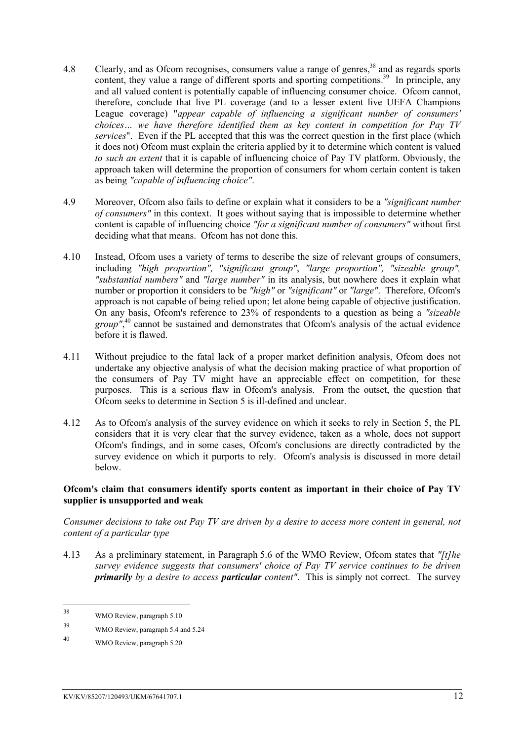- 4.8 Clearly, and as Ofcom recognises, consumers value a range of genres,<sup>38</sup> and as regards sports content, they value a range of different sports and sporting competitions.<sup>39</sup> In principle, any and all valued content is potentially capable of influencing consumer choice. Ofcom cannot, therefore, conclude that live PL coverage (and to a lesser extent live UEFA Champions League coverage) "*appear capable of influencing a significant number of consumers' choices… we have therefore identified them as key content in competition for Pay TV services*". Even if the PL accepted that this was the correct question in the first place (which it does not) Ofcom must explain the criteria applied by it to determine which content is valued *to such an extent* that it is capable of influencing choice of Pay TV platform. Obviously, the approach taken will determine the proportion of consumers for whom certain content is taken as being *"capable of influencing choice"*.
- 4.9 Moreover, Ofcom also fails to define or explain what it considers to be a *"significant number of consumers"* in this context. It goes without saying that is impossible to determine whether content is capable of influencing choice *"for a significant number of consumers"* without first deciding what that means. Of com has not done this.
- 4.10 Instead, Ofcom uses a variety of terms to describe the size of relevant groups of consumers, including *"high proportion", "significant group"*, *"large proportion", "sizeable group", "substantial numbers"* and *"large number"* in its analysis, but nowhere does it explain what number or proportion it considers to be *"high"* or *"significant"* or *"large"*. Therefore, Ofcom's approach is not capable of being relied upon; let alone being capable of objective justification. On any basis, Ofcom's reference to 23% of respondents to a question as being a *"sizeable*  group",<sup>40</sup> cannot be sustained and demonstrates that Ofcom's analysis of the actual evidence before it is flawed.
- 4.11 Without prejudice to the fatal lack of a proper market definition analysis, Ofcom does not undertake any objective analysis of what the decision making practice of what proportion of the consumers of Pay TV might have an appreciable effect on competition, for these purposes. This is a serious flaw in Ofcom's analysis. From the outset, the question that Ofcom seeks to determine in Section 5 is ill-defined and unclear.
- 4.12 As to Ofcom's analysis of the survey evidence on which it seeks to rely in Section 5, the PL considers that it is very clear that the survey evidence, taken as a whole, does not support Ofcom's findings, and in some cases, Ofcom's conclusions are directly contradicted by the survey evidence on which it purports to rely. Ofcom's analysis is discussed in more detail below.

### **Ofcom's claim that consumers identify sports content as important in their choice of Pay TV supplier is unsupported and weak**

*Consumer decisions to take out Pay TV are driven by a desire to access more content in general, not content of a particular type*

4.13 As a preliminary statement, in Paragraph 5.6 of the WMO Review, Ofcom states that *"[t]he survey evidence suggests that consumers' choice of Pay TV service continues to be driven primarily by a desire to access particular content"*. This is simply not correct. The survey

<sup>38</sup> WMO Review, paragraph 5.10

<sup>39</sup> WMO Review, paragraph 5.4 and 5.24

<sup>40</sup> WMO Review, paragraph 5.20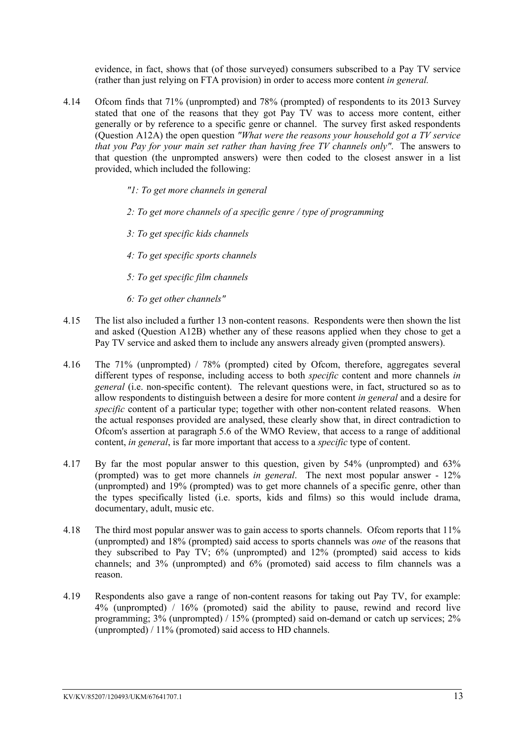evidence, in fact, shows that (of those surveyed) consumers subscribed to a Pay TV service (rather than just relying on FTA provision) in order to access more content *in general.*

- 4.14 Ofcom finds that 71% (unprompted) and 78% (prompted) of respondents to its 2013 Survey stated that one of the reasons that they got Pay TV was to access more content, either generally or by reference to a specific genre or channel. The survey first asked respondents (Question A12A) the open question *"What were the reasons your household got a TV service that you Pay for your main set rather than having free TV channels only"*. The answers to that question (the unprompted answers) were then coded to the closest answer in a list provided, which included the following:
	- *"1: To get more channels in general*
	- *2: To get more channels of a specific genre / type of programming*
	- *3: To get specific kids channels*
	- *4: To get specific sports channels*
	- *5: To get specific film channels*
	- *6: To get other channels"*
- 4.15 The list also included a further 13 non-content reasons. Respondents were then shown the list and asked (Question A12B) whether any of these reasons applied when they chose to get a Pay TV service and asked them to include any answers already given (prompted answers).
- 4.16 The 71% (unprompted) / 78% (prompted) cited by Ofcom, therefore, aggregates several different types of response, including access to both *specific* content and more channels *in general* (i.e. non-specific content). The relevant questions were, in fact, structured so as to allow respondents to distinguish between a desire for more content *in general* and a desire for *specific* content of a particular type; together with other non-content related reasons. When the actual responses provided are analysed, these clearly show that, in direct contradiction to Ofcom's assertion at paragraph 5.6 of the WMO Review, that access to a range of additional content, *in general*, is far more important that access to a *specific* type of content.
- 4.17 By far the most popular answer to this question, given by 54% (unprompted) and 63% (prompted) was to get more channels *in general*. The next most popular answer - 12% (unprompted) and 19% (prompted) was to get more channels of a specific genre, other than the types specifically listed (i.e. sports, kids and films) so this would include drama, documentary, adult, music etc.
- 4.18 The third most popular answer was to gain access to sports channels. Ofcom reports that 11% (unprompted) and 18% (prompted) said access to sports channels was *one* of the reasons that they subscribed to Pay TV; 6% (unprompted) and 12% (prompted) said access to kids channels; and 3% (unprompted) and 6% (promoted) said access to film channels was a reason.
- 4.19 Respondents also gave a range of non-content reasons for taking out Pay TV, for example: 4% (unprompted) / 16% (promoted) said the ability to pause, rewind and record live programming; 3% (unprompted) / 15% (prompted) said on-demand or catch up services; 2% (unprompted) / 11% (promoted) said access to HD channels.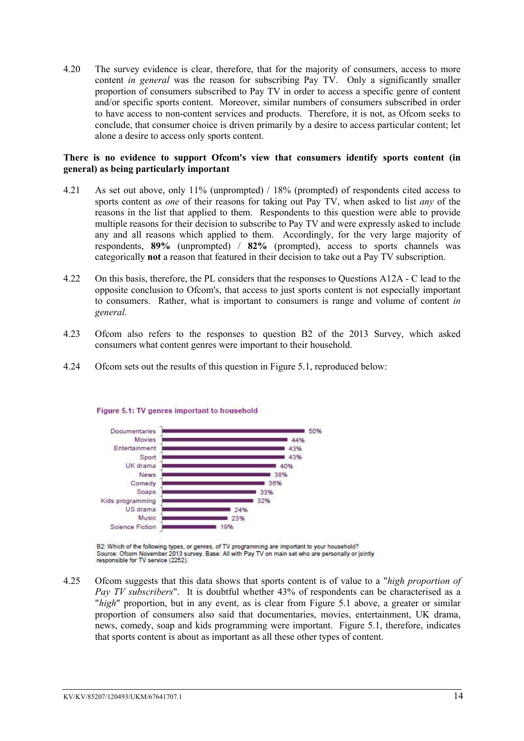4.20 The survey evidence is clear, therefore, that for the majority of consumers, access to more content *in general* was the reason for subscribing Pay TV. Only a significantly smaller proportion of consumers subscribed to Pay TV in order to access a specific genre of content and/or specific sports content. Moreover, similar numbers of consumers subscribed in order to have access to non-content services and products. Therefore, it is not, as Ofcom seeks to conclude, that consumer choice is driven primarily by a desire to access particular content; let alone a desire to access only sports content.

#### **There is no evidence to support Ofcom's view that consumers identify sports content (in general) as being particularly important**

- 4.21 As set out above, only 11% (unprompted) / 18% (prompted) of respondents cited access to sports content as *one* of their reasons for taking out Pay TV, when asked to list *any* of the reasons in the list that applied to them. Respondents to this question were able to provide multiple reasons for their decision to subscribe to Pay TV and were expressly asked to include any and all reasons which applied to them. Accordingly, for the very large majority of respondents, **89%** (unprompted) / **82%** (prompted), access to sports channels was categorically **not** a reason that featured in their decision to take out a Pay TV subscription.
- 4.22 On this basis, therefore, the PL considers that the responses to Questions A12A C lead to the opposite conclusion to Ofcom's, that access to just sports content is not especially important to consumers. Rather, what is important to consumers is range and volume of content *in general.*
- 4.23 Ofcom also refers to the responses to question B2 of the 2013 Survey, which asked consumers what content genres were important to their household.
- 4.24 Ofcom sets out the results of this question in Figure 5.1, reproduced below:



#### Figure 5.1: TV genres important to household

B2: Which of the following types, or genres, of TV programming are important to your household? Source: Ofcom November 2013 survey. Base: All with Pay TV on main set who are personally or jointly responsible for TV service (2252).

4.25 Ofcom suggests that this data shows that sports content is of value to a "*high proportion of Pay TV subscribers*". It is doubtful whether 43% of respondents can be characterised as a "*high*" proportion, but in any event, as is clear from Figure 5.1 above, a greater or similar proportion of consumers also said that documentaries, movies, entertainment, UK drama, news, comedy, soap and kids programming were important. Figure 5.1, therefore, indicates that sports content is about as important as all these other types of content.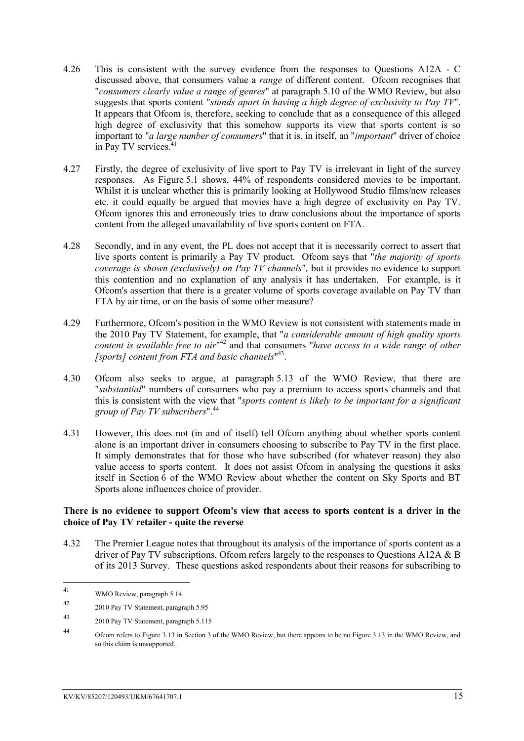- 4.26 This is consistent with the survey evidence from the responses to Questions A12A C discussed above, that consumers value a *range* of different content. Ofcom recognises that "*consumers clearly value a range of genres*" at paragraph 5.10 of the WMO Review, but also suggests that sports content "*stands apart in having a high degree of exclusivity to Pay TV*". It appears that Ofcom is, therefore, seeking to conclude that as a consequence of this alleged high degree of exclusivity that this somehow supports its view that sports content is so important to "*a large number of consumers*" that it is, in itself, an "*important*" driver of choice in Pay TV services.<sup>41</sup>
- 4.27 Firstly, the degree of exclusivity of live sport to Pay TV is irrelevant in light of the survey responses. As Figure 5.1 shows, 44% of respondents considered movies to be important. Whilst it is unclear whether this is primarily looking at Hollywood Studio films/new releases etc. it could equally be argued that movies have a high degree of exclusivity on Pay TV. Ofcom ignores this and erroneously tries to draw conclusions about the importance of sports content from the alleged unavailability of live sports content on FTA.
- 4.28 Secondly, and in any event, the PL does not accept that it is necessarily correct to assert that live sports content is primarily a Pay TV product. Ofcom says that "*the majority of sports coverage is shown (exclusively) on Pay TV channels*"*,* but it provides no evidence to support this contention and no explanation of any analysis it has undertaken. For example, is it Ofcom's assertion that there is a greater volume of sports coverage available on Pay TV than FTA by air time, or on the basis of some other measure?
- 4.29 Furthermore, Ofcom's position in the WMO Review is not consistent with statements made in the 2010 Pay TV Statement, for example, that "*a considerable amount of high quality sports*  content is available free to air<sup>n42</sup> and that consumers "*have access to a wide range of other [sports] content from FTA and basic channels*" 43 .
- 4.30 Ofcom also seeks to argue, at paragraph 5.13 of the WMO Review, that there are "*substantial*" numbers of consumers who pay a premium to access sports channels and that this is consistent with the view that "*sports content is likely to be important for a significant group of Pay TV subscribers*".<sup>44</sup>
- 4.31 However, this does not (in and of itself) tell Ofcom anything about whether sports content alone is an important driver in consumers choosing to subscribe to Pay TV in the first place. It simply demonstrates that for those who have subscribed (for whatever reason) they also value access to sports content. It does not assist Ofcom in analysing the questions it asks itself in Section 6 of the WMO Review about whether the content on Sky Sports and BT Sports alone influences choice of provider.

#### **There is no evidence to support Ofcom's view that access to sports content is a driver in the choice of Pay TV retailer - quite the reverse**

4.32 The Premier League notes that throughout its analysis of the importance of sports content as a driver of Pay TV subscriptions, Ofcom refers largely to the responses to Questions A12A & B of its 2013 Survey. These questions asked respondents about their reasons for subscribing to

<sup>41</sup> WMO Review, paragraph 5.14

<sup>42</sup> 2010 Pay TV Statement, paragraph 5.95

<sup>43</sup> 2010 Pay TV Statement, paragraph 5.115

<sup>44</sup> Ofcom refers to Figure 3.13 in Section 3 of the WMO Review, but there appears to be no Figure 3.13 in the WMO Review, and so this claim is unsupported.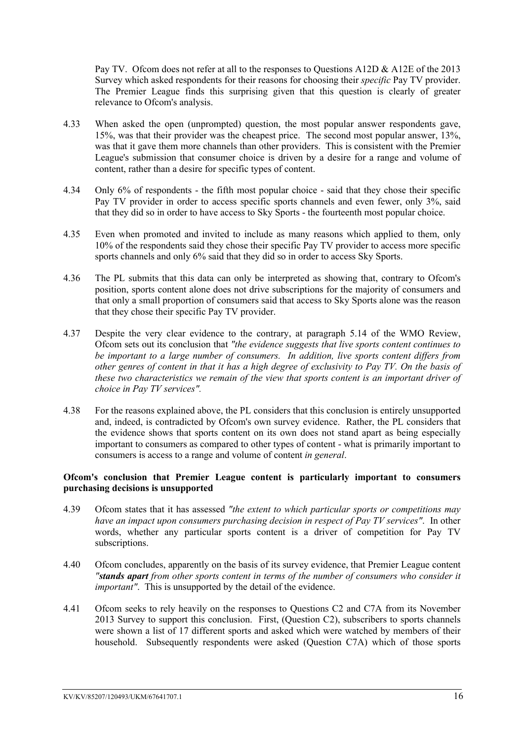Pay TV. Ofcom does not refer at all to the responses to Questions A12D & A12E of the 2013 Survey which asked respondents for their reasons for choosing their *specific* Pay TV provider. The Premier League finds this surprising given that this question is clearly of greater relevance to Ofcom's analysis.

- 4.33 When asked the open (unprompted) question, the most popular answer respondents gave, 15%, was that their provider was the cheapest price. The second most popular answer, 13%, was that it gave them more channels than other providers. This is consistent with the Premier League's submission that consumer choice is driven by a desire for a range and volume of content, rather than a desire for specific types of content.
- 4.34 Only 6% of respondents the fifth most popular choice said that they chose their specific Pay TV provider in order to access specific sports channels and even fewer, only 3%, said that they did so in order to have access to Sky Sports - the fourteenth most popular choice.
- 4.35 Even when promoted and invited to include as many reasons which applied to them, only 10% of the respondents said they chose their specific Pay TV provider to access more specific sports channels and only 6% said that they did so in order to access Sky Sports.
- 4.36 The PL submits that this data can only be interpreted as showing that, contrary to Ofcom's position, sports content alone does not drive subscriptions for the majority of consumers and that only a small proportion of consumers said that access to Sky Sports alone was the reason that they chose their specific Pay TV provider.
- 4.37 Despite the very clear evidence to the contrary, at paragraph 5.14 of the WMO Review, Ofcom sets out its conclusion that *"the evidence suggests that live sports content continues to be important to a large number of consumers. In addition, live sports content differs from other genres of content in that it has a high degree of exclusivity to Pay TV. On the basis of these two characteristics we remain of the view that sports content is an important driver of choice in Pay TV services".*
- 4.38 For the reasons explained above, the PL considers that this conclusion is entirely unsupported and, indeed, is contradicted by Ofcom's own survey evidence. Rather, the PL considers that the evidence shows that sports content on its own does not stand apart as being especially important to consumers as compared to other types of content - what is primarily important to consumers is access to a range and volume of content *in general*.

#### **Ofcom's conclusion that Premier League content is particularly important to consumers purchasing decisions is unsupported**

- 4.39 Ofcom states that it has assessed *"the extent to which particular sports or competitions may have an impact upon consumers purchasing decision in respect of Pay TV services"*. In other words, whether any particular sports content is a driver of competition for Pay TV subscriptions.
- 4.40 Ofcom concludes, apparently on the basis of its survey evidence, that Premier League content *"stands apart from other sports content in terms of the number of consumers who consider it important"*. This is unsupported by the detail of the evidence.
- 4.41 Ofcom seeks to rely heavily on the responses to Questions C2 and C7A from its November 2013 Survey to support this conclusion. First, (Question C2), subscribers to sports channels were shown a list of 17 different sports and asked which were watched by members of their household. Subsequently respondents were asked (Question C7A) which of those sports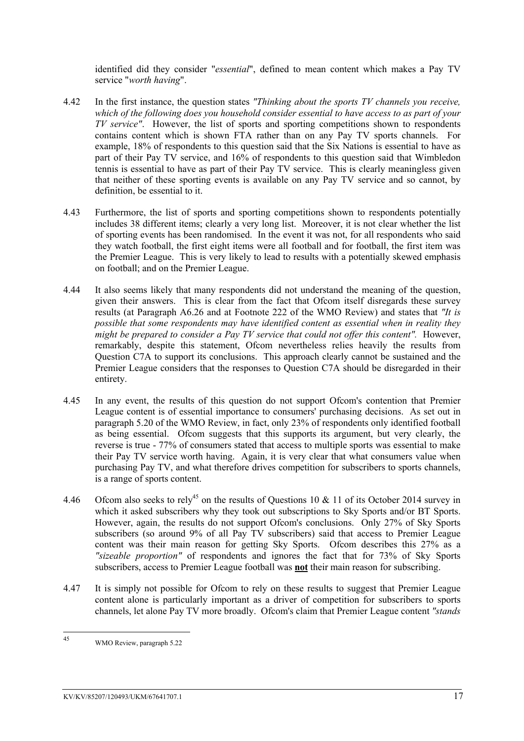identified did they consider "*essential*", defined to mean content which makes a Pay TV service "*worth having*".

- 4.42 In the first instance, the question states *"Thinking about the sports TV channels you receive, which of the following does you household consider essential to have access to as part of your TV service"*. However, the list of sports and sporting competitions shown to respondents contains content which is shown FTA rather than on any Pay TV sports channels. For example, 18% of respondents to this question said that the Six Nations is essential to have as part of their Pay TV service, and 16% of respondents to this question said that Wimbledon tennis is essential to have as part of their Pay TV service. This is clearly meaningless given that neither of these sporting events is available on any Pay TV service and so cannot, by definition, be essential to it.
- 4.43 Furthermore, the list of sports and sporting competitions shown to respondents potentially includes 38 different items; clearly a very long list. Moreover, it is not clear whether the list of sporting events has been randomised. In the event it was not, for all respondents who said they watch football, the first eight items were all football and for football, the first item was the Premier League. This is very likely to lead to results with a potentially skewed emphasis on football; and on the Premier League.
- 4.44 It also seems likely that many respondents did not understand the meaning of the question, given their answers. This is clear from the fact that Ofcom itself disregards these survey results (at Paragraph A6.26 and at Footnote 222 of the WMO Review) and states that *"It is possible that some respondents may have identified content as essential when in reality they might be prepared to consider a Pay TV service that could not offer this content".* However, remarkably, despite this statement, Ofcom nevertheless relies heavily the results from Question C7A to support its conclusions. This approach clearly cannot be sustained and the Premier League considers that the responses to Question C7A should be disregarded in their entirety.
- 4.45 In any event, the results of this question do not support Ofcom's contention that Premier League content is of essential importance to consumers' purchasing decisions. As set out in paragraph 5.20 of the WMO Review, in fact, only 23% of respondents only identified football as being essential. Ofcom suggests that this supports its argument, but very clearly, the reverse is true - 77% of consumers stated that access to multiple sports was essential to make their Pay TV service worth having. Again, it is very clear that what consumers value when purchasing Pay TV, and what therefore drives competition for subscribers to sports channels, is a range of sports content.
- 4.46 Ofcom also seeks to rely<sup>45</sup> on the results of Questions 10  $\&$  11 of its October 2014 survey in which it asked subscribers why they took out subscriptions to Sky Sports and/or BT Sports. However, again, the results do not support Ofcom's conclusions. Only 27% of Sky Sports subscribers (so around 9% of all Pay TV subscribers) said that access to Premier League content was their main reason for getting Sky Sports. Ofcom describes this 27% as a *"sizeable proportion"* of respondents and ignores the fact that for 73% of Sky Sports subscribers, access to Premier League football was **not** their main reason for subscribing.
- 4.47 It is simply not possible for Ofcom to rely on these results to suggest that Premier League content alone is particularly important as a driver of competition for subscribers to sports channels, let alone Pay TV more broadly. Ofcom's claim that Premier League content *"stands*

<sup>45</sup> WMO Review, paragraph 5.22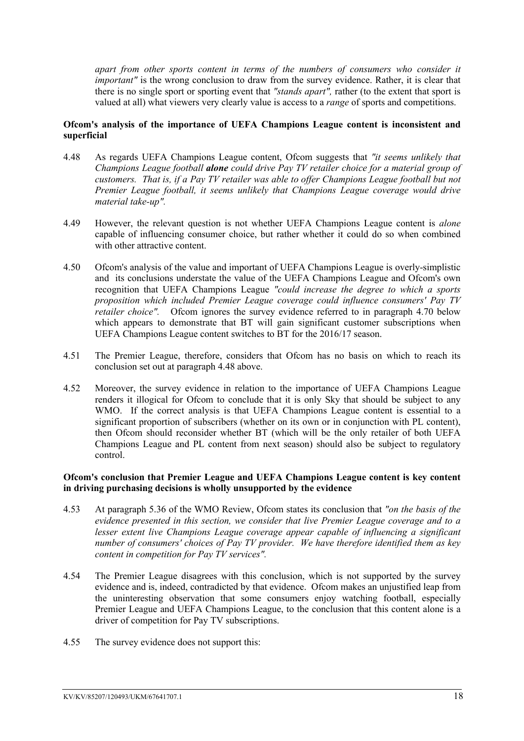*apart from other sports content in terms of the numbers of consumers who consider it important*" is the wrong conclusion to draw from the survey evidence. Rather, it is clear that there is no single sport or sporting event that *"stands apart",* rather (to the extent that sport is valued at all) what viewers very clearly value is access to a *range* of sports and competitions.

#### **Ofcom's analysis of the importance of UEFA Champions League content is inconsistent and superficial**

- 4.48 As regards UEFA Champions League content, Ofcom suggests that *"it seems unlikely that Champions League football alone could drive Pay TV retailer choice for a material group of customers. That is, if a Pay TV retailer was able to offer Champions League football but not Premier League football, it seems unlikely that Champions League coverage would drive material take-up".*
- 4.49 However, the relevant question is not whether UEFA Champions League content is *alone* capable of influencing consumer choice, but rather whether it could do so when combined with other attractive content.
- 4.50 Ofcom's analysis of the value and important of UEFA Champions League is overly-simplistic and its conclusions understate the value of the UEFA Champions League and Ofcom's own recognition that UEFA Champions League *"could increase the degree to which a sports proposition which included Premier League coverage could influence consumers' Pay TV retailer choice".* Ofcom ignores the survey evidence referred to in paragraph 4.70 below which appears to demonstrate that BT will gain significant customer subscriptions when UEFA Champions League content switches to BT for the 2016/17 season.
- 4.51 The Premier League, therefore, considers that Ofcom has no basis on which to reach its conclusion set out at paragraph 4.48 above.
- 4.52 Moreover, the survey evidence in relation to the importance of UEFA Champions League renders it illogical for Ofcom to conclude that it is only Sky that should be subject to any WMO. If the correct analysis is that UEFA Champions League content is essential to a significant proportion of subscribers (whether on its own or in conjunction with PL content), then Ofcom should reconsider whether BT (which will be the only retailer of both UEFA Champions League and PL content from next season) should also be subject to regulatory control.

#### **Ofcom's conclusion that Premier League and UEFA Champions League content is key content in driving purchasing decisions is wholly unsupported by the evidence**

- 4.53 At paragraph 5.36 of the WMO Review, Ofcom states its conclusion that *"on the basis of the evidence presented in this section, we consider that live Premier League coverage and to a lesser extent live Champions League coverage appear capable of influencing a significant number of consumers' choices of Pay TV provider. We have therefore identified them as key content in competition for Pay TV services".*
- 4.54 The Premier League disagrees with this conclusion, which is not supported by the survey evidence and is, indeed, contradicted by that evidence. Ofcom makes an unjustified leap from the uninteresting observation that some consumers enjoy watching football, especially Premier League and UEFA Champions League, to the conclusion that this content alone is a driver of competition for Pay TV subscriptions.
- 4.55 The survey evidence does not support this: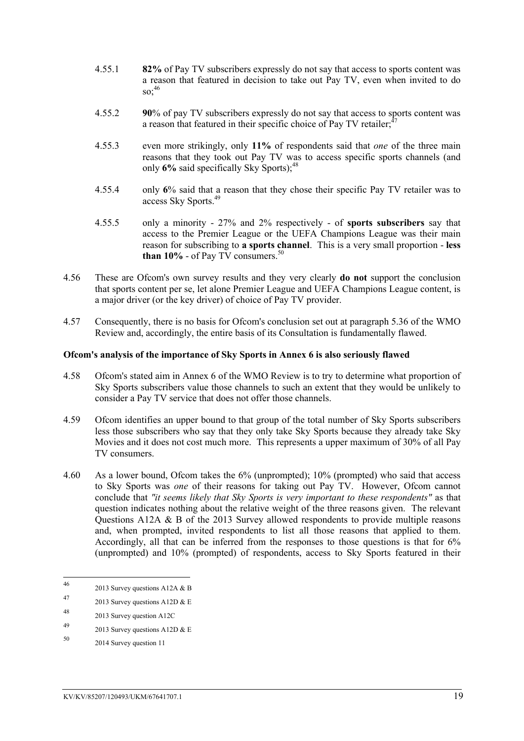- 4.55.1 **82%** of Pay TV subscribers expressly do not say that access to sports content was a reason that featured in decision to take out Pay TV, even when invited to do  $\mathrm{SO}^{46}$
- 4.55.2 **90**% of pay TV subscribers expressly do not say that access to sports content was a reason that featured in their specific choice of Pay TV retailer;<sup>4</sup>
- 4.55.3 even more strikingly, only **11%** of respondents said that *one* of the three main reasons that they took out Pay TV was to access specific sports channels (and only 6% said specifically Sky Sports);<sup>48</sup>
- 4.55.4 only **6**% said that a reason that they chose their specific Pay TV retailer was to access Sky Sports.<sup>49</sup>
- 4.55.5 only a minority 27% and 2% respectively of **sports subscribers** say that access to the Premier League or the UEFA Champions League was their main reason for subscribing to **a sports channel**. This is a very small proportion - **less than 10%** - of Pay TV consumers. $50$
- 4.56 These are Ofcom's own survey results and they very clearly **do not** support the conclusion that sports content per se, let alone Premier League and UEFA Champions League content, is a major driver (or the key driver) of choice of Pay TV provider.
- 4.57 Consequently, there is no basis for Ofcom's conclusion set out at paragraph 5.36 of the WMO Review and, accordingly, the entire basis of its Consultation is fundamentally flawed.

#### **Ofcom's analysis of the importance of Sky Sports in Annex 6 is also seriously flawed**

- 4.58 Ofcom's stated aim in Annex 6 of the WMO Review is to try to determine what proportion of Sky Sports subscribers value those channels to such an extent that they would be unlikely to consider a Pay TV service that does not offer those channels.
- 4.59 Ofcom identifies an upper bound to that group of the total number of Sky Sports subscribers less those subscribers who say that they only take Sky Sports because they already take Sky Movies and it does not cost much more. This represents a upper maximum of 30% of all Pay TV consumers.
- 4.60 As a lower bound, Ofcom takes the 6% (unprompted); 10% (prompted) who said that access to Sky Sports was *one* of their reasons for taking out Pay TV. However, Ofcom cannot conclude that *"it seems likely that Sky Sports is very important to these respondents"* as that question indicates nothing about the relative weight of the three reasons given. The relevant Questions A12A & B of the 2013 Survey allowed respondents to provide multiple reasons and, when prompted, invited respondents to list all those reasons that applied to them. Accordingly, all that can be inferred from the responses to those questions is that for 6% (unprompted) and 10% (prompted) of respondents, access to Sky Sports featured in their

 $46$ 2013 Survey questions A12A  $&$  B

<sup>47 2013</sup> Survey questions A12D  $& \& E$ 

<sup>48</sup> 2013 Survey question A12C

<sup>49 2013</sup> Survey questions A12D  $& \& E$ 

<sup>50</sup> 2014 Survey question 11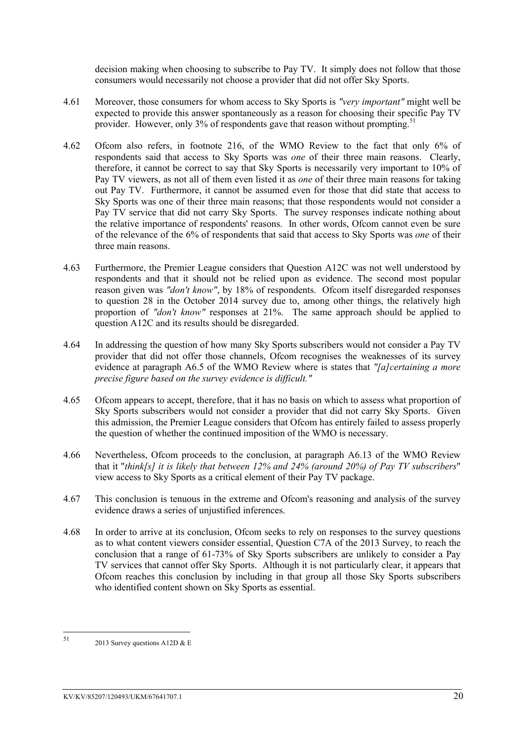decision making when choosing to subscribe to Pay TV. It simply does not follow that those consumers would necessarily not choose a provider that did not offer Sky Sports.

- 4.61 Moreover, those consumers for whom access to Sky Sports is *"very important"* might well be expected to provide this answer spontaneously as a reason for choosing their specific Pay TV provider. However, only 3% of respondents gave that reason without prompting.<sup>51</sup>
- 4.62 Ofcom also refers, in footnote 216, of the WMO Review to the fact that only 6% of respondents said that access to Sky Sports was *one* of their three main reasons. Clearly, therefore, it cannot be correct to say that Sky Sports is necessarily very important to 10% of Pay TV viewers, as not all of them even listed it as *one* of their three main reasons for taking out Pay TV. Furthermore, it cannot be assumed even for those that did state that access to Sky Sports was one of their three main reasons; that those respondents would not consider a Pay TV service that did not carry Sky Sports. The survey responses indicate nothing about the relative importance of respondents' reasons. In other words, Ofcom cannot even be sure of the relevance of the 6% of respondents that said that access to Sky Sports was *one* of their three main reasons.
- 4.63 Furthermore, the Premier League considers that Question A12C was not well understood by respondents and that it should not be relied upon as evidence. The second most popular reason given was "*don't know*", by 18% of respondents. Of com itself disregarded responses to question 28 in the October 2014 survey due to, among other things, the relatively high proportion of *"don't know"* responses at 21%. The same approach should be applied to question A12C and its results should be disregarded.
- 4.64 In addressing the question of how many Sky Sports subscribers would not consider a Pay TV provider that did not offer those channels, Ofcom recognises the weaknesses of its survey evidence at paragraph A6.5 of the WMO Review where is states that *"[a]certaining a more precise figure based on the survey evidence is difficult."*
- 4.65 Ofcom appears to accept, therefore, that it has no basis on which to assess what proportion of Sky Sports subscribers would not consider a provider that did not carry Sky Sports. Given this admission, the Premier League considers that Ofcom has entirely failed to assess properly the question of whether the continued imposition of the WMO is necessary.
- 4.66 Nevertheless, Ofcom proceeds to the conclusion, at paragraph A6.13 of the WMO Review that it "*think[s] it is likely that between 12% and 24% (around 20%) of Pay TV subscribers*" view access to Sky Sports as a critical element of their Pay TV package.
- 4.67 This conclusion is tenuous in the extreme and Ofcom's reasoning and analysis of the survey evidence draws a series of unjustified inferences.
- 4.68 In order to arrive at its conclusion, Ofcom seeks to rely on responses to the survey questions as to what content viewers consider essential, Question C7A of the 2013 Survey, to reach the conclusion that a range of 61-73% of Sky Sports subscribers are unlikely to consider a Pay TV services that cannot offer Sky Sports. Although it is not particularly clear, it appears that Ofcom reaches this conclusion by including in that group all those Sky Sports subscribers who identified content shown on Sky Sports as essential.

<sup>51</sup> 2013 Survey questions A12D  $&E$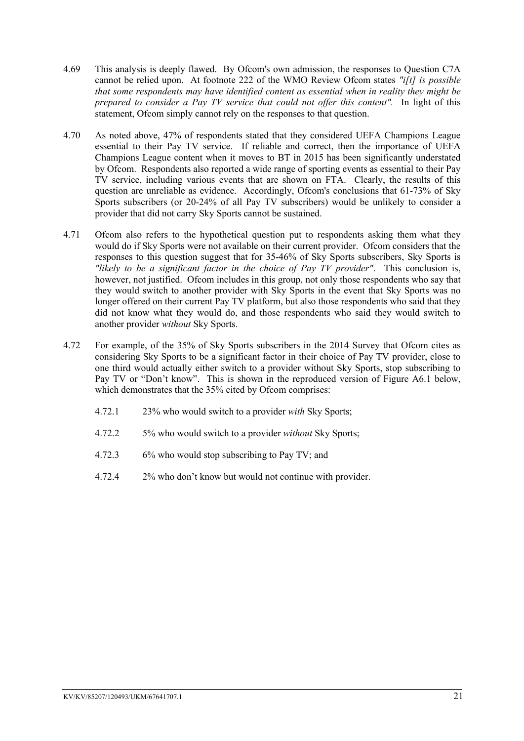- 4.69 This analysis is deeply flawed. By Ofcom's own admission, the responses to Question C7A cannot be relied upon. At footnote 222 of the WMO Review Ofcom states *"i[t] is possible that some respondents may have identified content as essential when in reality they might be prepared to consider a Pay TV service that could not offer this content".* In light of this statement, Ofcom simply cannot rely on the responses to that question.
- 4.70 As noted above, 47% of respondents stated that they considered UEFA Champions League essential to their Pay TV service. If reliable and correct, then the importance of UEFA Champions League content when it moves to BT in 2015 has been significantly understated by Ofcom. Respondents also reported a wide range of sporting events as essential to their Pay TV service, including various events that are shown on FTA. Clearly, the results of this question are unreliable as evidence. Accordingly, Ofcom's conclusions that 61-73% of Sky Sports subscribers (or 20-24% of all Pay TV subscribers) would be unlikely to consider a provider that did not carry Sky Sports cannot be sustained.
- 4.71 Ofcom also refers to the hypothetical question put to respondents asking them what they would do if Sky Sports were not available on their current provider. Ofcom considers that the responses to this question suggest that for 35-46% of Sky Sports subscribers, Sky Sports is *"likely to be a significant factor in the choice of Pay TV provider"*. This conclusion is, however, not justified. Ofcom includes in this group, not only those respondents who say that they would switch to another provider with Sky Sports in the event that Sky Sports was no longer offered on their current Pay TV platform, but also those respondents who said that they did not know what they would do, and those respondents who said they would switch to another provider *without* Sky Sports.
- 4.72 For example, of the 35% of Sky Sports subscribers in the 2014 Survey that Ofcom cites as considering Sky Sports to be a significant factor in their choice of Pay TV provider, close to one third would actually either switch to a provider without Sky Sports, stop subscribing to Pay TV or "Don't know". This is shown in the reproduced version of Figure A6.1 below, which demonstrates that the 35% cited by Ofcom comprises:
	- 4.72.1 23% who would switch to a provider *with* Sky Sports;
	- 4.72.2 5% who would switch to a provider *without* Sky Sports;
	- 4.72.3 6% who would stop subscribing to Pay TV; and
	- 4.72.4 2% who don't know but would not continue with provider.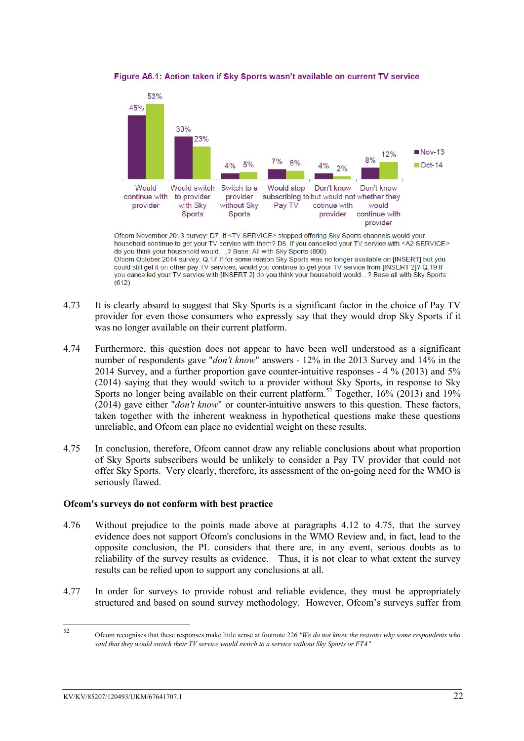

Figure A6.1: Action taken if Sky Sports wasn't available on current TV service

Ofcom November 2013 survey: D7. If <TV SERVICE> stopped offering Sky Sports channels would your household continue to get your TV service with them? D8. If you cancelled your TV service with <A2 SERVICE> do you think your household would....? Base: All with Sky Sports (800) Ofcom October 2014 survey: Q.17 If for some reason Sky Sports was no longer available on [INSERT] but you could still get it on other pay TV services, would you continue to get your TV service from [INSERT 2]? Q.19 If you cancelled your TV service with [INSERT 2] do you think your household would...? Base all with Sky Sports  $(612)$ 

- 4.73 It is clearly absurd to suggest that Sky Sports is a significant factor in the choice of Pay TV provider for even those consumers who expressly say that they would drop Sky Sports if it was no longer available on their current platform.
- 4.74 Furthermore, this question does not appear to have been well understood as a significant number of respondents gave "*don't know*" answers - 12% in the 2013 Survey and 14% in the 2014 Survey, and a further proportion gave counter-intuitive responses - 4 % (2013) and 5% (2014) saying that they would switch to a provider without Sky Sports, in response to Sky Sports no longer being available on their current platform.<sup>52</sup> Together,  $16\%$  (2013) and 19% (2014) gave either "*don't know*" or counter-intuitive answers to this question. These factors, taken together with the inherent weakness in hypothetical questions make these questions unreliable, and Ofcom can place no evidential weight on these results.
- 4.75 In conclusion, therefore, Ofcom cannot draw any reliable conclusions about what proportion of Sky Sports subscribers would be unlikely to consider a Pay TV provider that could not offer Sky Sports. Very clearly, therefore, its assessment of the on-going need for the WMO is seriously flawed.

### **Ofcom's surveys do not conform with best practice**

- 4.76 Without prejudice to the points made above at paragraphs 4.12 to 4.75, that the survey evidence does not support Ofcom's conclusions in the WMO Review and, in fact, lead to the opposite conclusion, the PL considers that there are, in any event, serious doubts as to reliability of the survey results as evidence. Thus, it is not clear to what extent the survey results can be relied upon to support any conclusions at all.
- 4.77 In order for surveys to provide robust and reliable evidence, they must be appropriately structured and based on sound survey methodology. However, Ofcom's surveys suffer from

<sup>52</sup> <sup>52</sup> Ofcom recognises that these responses make little sense at footnote 226 *"We do not know the reasons why some respondents who said that they would switch their TV service would switch to a service without Sky Sports or FTA"*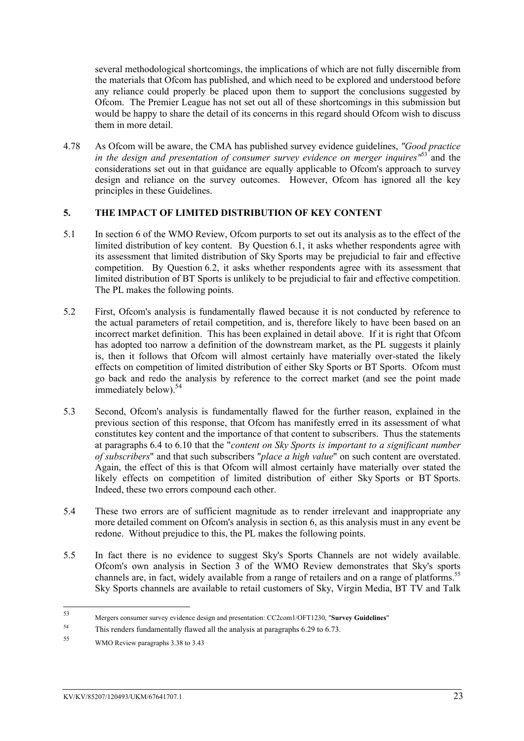several methodological shortcomings, the implications of which are not fully discernible from the materials that Ofcom has published, and which need to be explored and understood before any reliance could properly be placed upon them to support the conclusions suggested by Ofcom. The Premier League has not set out all of these shortcomings in this submission but would be happy to share the detail of its concerns in this regard should Ofcom wish to discuss them in more detail.

4.78 As Ofcom will be aware, the CMA has published survey evidence guidelines, *"Good practice in the design and presentation of consumer survey evidence on merger inquires*<sup>163</sup> and the considerations set out in that guidance are equally applicable to Ofcom's approach to survey design and reliance on the survey outcomes. However, Ofcom has ignored all the key principles in these Guidelines.

### <span id="page-24-0"></span>**5. THE IMPACT OF LIMITED DISTRIBUTION OF KEY CONTENT**

- 5.1 In section 6 of the WMO Review, Ofcom purports to set out its analysis as to the effect of the limited distribution of key content. By Question 6.1, it asks whether respondents agree with its assessment that limited distribution of Sky Sports may be prejudicial to fair and effective competition. By Question 6.2, it asks whether respondents agree with its assessment that limited distribution of BT Sports is unlikely to be prejudicial to fair and effective competition. The PL makes the following points.
- 5.2 First, Ofcom's analysis is fundamentally flawed because it is not conducted by reference to the actual parameters of retail competition, and is, therefore likely to have been based on an incorrect market definition. This has been explained in detail above. If it is right that Ofcom has adopted too narrow a definition of the downstream market, as the PL suggests it plainly is, then it follows that Ofcom will almost certainly have materially over-stated the likely effects on competition of limited distribution of either Sky Sports or BT Sports. Ofcom must go back and redo the analysis by reference to the correct market (and see the point made immediately below).<sup>54</sup>
- 5.3 Second, Ofcom's analysis is fundamentally flawed for the further reason, explained in the previous section of this response, that Ofcom has manifestly erred in its assessment of what constitutes key content and the importance of that content to subscribers. Thus the statements at paragraphs 6.4 to 6.10 that the "*content on Sky Sports is important to a significant number of subscribers*" and that such subscribers "*place a high value*" on such content are overstated. Again, the effect of this is that Ofcom will almost certainly have materially over stated the likely effects on competition of limited distribution of either Sky Sports or BT Sports. Indeed, these two errors compound each other.
- 5.4 These two errors are of sufficient magnitude as to render irrelevant and inappropriate any more detailed comment on Ofcom's analysis in section 6, as this analysis must in any event be redone. Without prejudice to this, the PL makes the following points.
- 5.5 In fact there is no evidence to suggest Sky's Sports Channels are not widely available. Ofcom's own analysis in Section 3 of the WMO Review demonstrates that Sky's sports channels are, in fact, widely available from a range of retailers and on a range of platforms.<sup>55</sup> Sky Sports channels are available to retail customers of Sky, Virgin Media, BT TV and Talk

<sup>53</sup> <sup>53</sup> Mergers consumer survey evidence design and presentation: CC2com1/OFT1230, "**Survey Guidelines**"

<sup>54</sup> This renders fundamentally flawed all the analysis at paragraphs 6.29 to 6.73.

<sup>55</sup> WMO Review paragraphs 3.38 to 3.43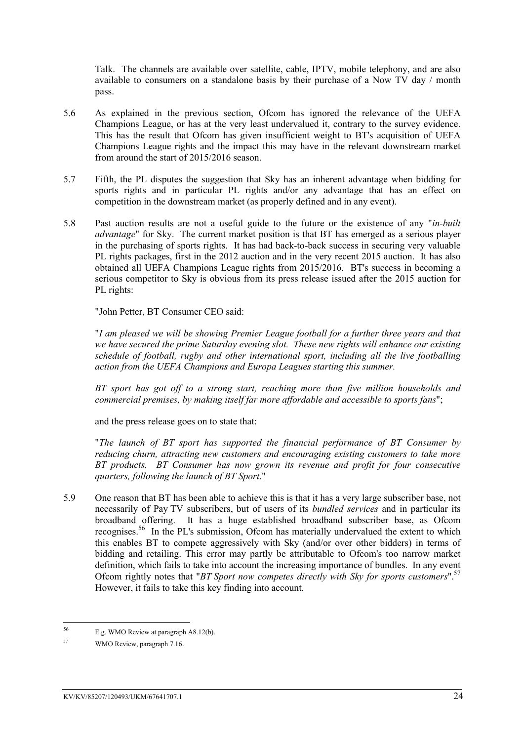Talk. The channels are available over satellite, cable, IPTV, mobile telephony, and are also available to consumers on a standalone basis by their purchase of a Now TV day / month pass.

- 5.6 As explained in the previous section, Ofcom has ignored the relevance of the UEFA Champions League, or has at the very least undervalued it, contrary to the survey evidence. This has the result that Ofcom has given insufficient weight to BT's acquisition of UEFA Champions League rights and the impact this may have in the relevant downstream market from around the start of 2015/2016 season.
- 5.7 Fifth, the PL disputes the suggestion that Sky has an inherent advantage when bidding for sports rights and in particular PL rights and/or any advantage that has an effect on competition in the downstream market (as properly defined and in any event).
- 5.8 Past auction results are not a useful guide to the future or the existence of any "*in-built advantage*" for Sky. The current market position is that BT has emerged as a serious player in the purchasing of sports rights. It has had back-to-back success in securing very valuable PL rights packages, first in the 2012 auction and in the very recent 2015 auction. It has also obtained all UEFA Champions League rights from 2015/2016. BT's success in becoming a serious competitor to Sky is obvious from its press release issued after the 2015 auction for PL rights:

"John Petter, BT Consumer CEO said:

"*I am pleased we will be showing Premier League football for a further three years and that we have secured the prime Saturday evening slot. These new rights will enhance our existing schedule of football, rugby and other international sport, including all the live footballing action from the UEFA Champions and Europa Leagues starting this summer.*

*BT sport has got off to a strong start, reaching more than five million households and commercial premises, by making itself far more affordable and accessible to sports fans*";

and the press release goes on to state that:

"*The launch of BT sport has supported the financial performance of BT Consumer by reducing churn, attracting new customers and encouraging existing customers to take more BT products. BT Consumer has now grown its revenue and profit for four consecutive quarters, following the launch of BT Sport*."

5.9 One reason that BT has been able to achieve this is that it has a very large subscriber base, not necessarily of Pay TV subscribers, but of users of its *bundled services* and in particular its broadband offering. It has a huge established broadband subscriber base, as Ofcom recognises.<sup>56</sup> In the PL's submission, Ofcom has materially undervalued the extent to which this enables BT to compete aggressively with Sky (and/or over other bidders) in terms of bidding and retailing. This error may partly be attributable to Ofcom's too narrow market definition, which fails to take into account the increasing importance of bundles. In any event Ofcom rightly notes that "*BT Sport now competes directly with Sky for sports customers*".<sup>57</sup> However, it fails to take this key finding into account.

<sup>56</sup> <sup>56</sup> E.g. WMO Review at paragraph A8.12(b).

<sup>57</sup> WMO Review, paragraph 7.16.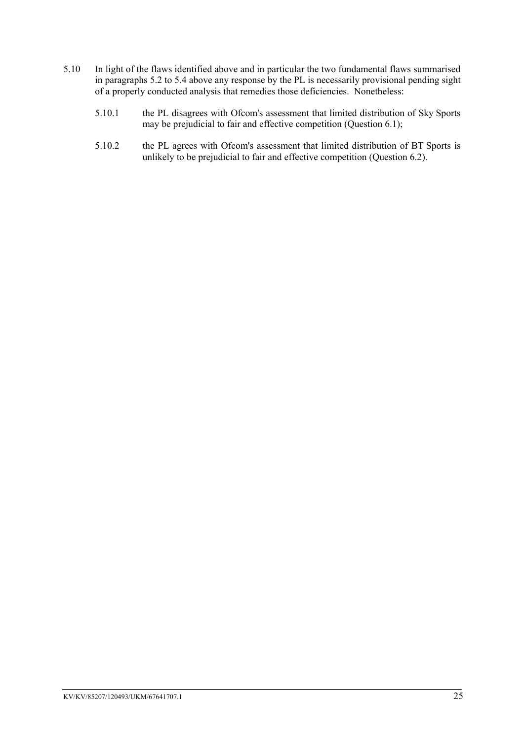- 5.10 In light of the flaws identified above and in particular the two fundamental flaws summarised in paragraphs 5.2 to 5.4 above any response by the PL is necessarily provisional pending sight of a properly conducted analysis that remedies those deficiencies. Nonetheless:
	- 5.10.1 the PL disagrees with Ofcom's assessment that limited distribution of Sky Sports may be prejudicial to fair and effective competition (Question 6.1);
	- 5.10.2 the PL agrees with Ofcom's assessment that limited distribution of BT Sports is unlikely to be prejudicial to fair and effective competition (Question 6.2).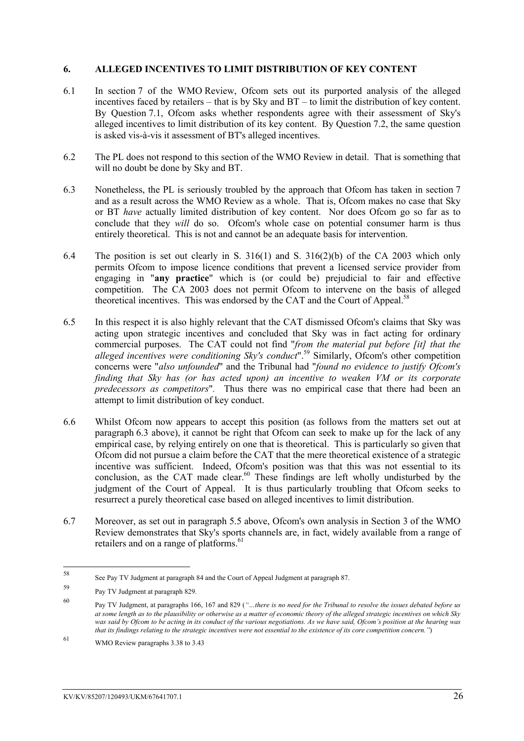#### <span id="page-27-0"></span>**6. ALLEGED INCENTIVES TO LIMIT DISTRIBUTION OF KEY CONTENT**

- 6.1 In section 7 of the WMO Review, Ofcom sets out its purported analysis of the alleged incentives faced by retailers – that is by Sky and BT – to limit the distribution of key content. By Question 7.1, Ofcom asks whether respondents agree with their assessment of Sky's alleged incentives to limit distribution of its key content. By Question 7.2, the same question is asked vis-à-vis it assessment of BT's alleged incentives.
- 6.2 The PL does not respond to this section of the WMO Review in detail. That is something that will no doubt be done by Sky and BT.
- 6.3 Nonetheless, the PL is seriously troubled by the approach that Ofcom has taken in section 7 and as a result across the WMO Review as a whole. That is, Ofcom makes no case that Sky or BT *have* actually limited distribution of key content. Nor does Ofcom go so far as to conclude that they *will* do so. Ofcom's whole case on potential consumer harm is thus entirely theoretical. This is not and cannot be an adequate basis for intervention.
- 6.4 The position is set out clearly in S. 316(1) and S. 316(2)(b) of the CA 2003 which only permits Ofcom to impose licence conditions that prevent a licensed service provider from engaging in "**any practice**" which is (or could be) prejudicial to fair and effective competition. The CA 2003 does not permit Ofcom to intervene on the basis of alleged theoretical incentives. This was endorsed by the CAT and the Court of Appeal.<sup>58</sup>
- 6.5 In this respect it is also highly relevant that the CAT dismissed Ofcom's claims that Sky was acting upon strategic incentives and concluded that Sky was in fact acting for ordinary commercial purposes. The CAT could not find "*from the material put before [it] that the alleged incentives were conditioning Sky's conduct*".<sup>59</sup> Similarly, Ofcom's other competition concerns were "*also unfounded*" and the Tribunal had "*found no evidence to justify Ofcom's finding that Sky has (or has acted upon) an incentive to weaken VM or its corporate predecessors as competitors*"*.* Thus there was no empirical case that there had been an attempt to limit distribution of key conduct.
- 6.6 Whilst Ofcom now appears to accept this position (as follows from the matters set out at paragraph 6.3 above), it cannot be right that Ofcom can seek to make up for the lack of any empirical case, by relying entirely on one that is theoretical. This is particularly so given that Ofcom did not pursue a claim before the CAT that the mere theoretical existence of a strategic incentive was sufficient. Indeed, Ofcom's position was that this was not essential to its conclusion, as the CAT made clear.<sup>60</sup> These findings are left wholly undisturbed by the judgment of the Court of Appeal. It is thus particularly troubling that Ofcom seeks to resurrect a purely theoretical case based on alleged incentives to limit distribution.
- 6.7 Moreover, as set out in paragraph 5.5 above, Ofcom's own analysis in Section 3 of the WMO Review demonstrates that Sky's sports channels are, in fact, widely available from a range of retailers and on a range of platforms.<sup>61</sup>

<sup>58</sup> <sup>58</sup> See Pay TV Judgment at paragraph 84 and the Court of Appeal Judgment at paragraph 87.

<sup>59</sup> Pay TV Judgment at paragraph 829.

<sup>60</sup> Pay TV Judgment, at paragraphs 166, 167 and 829 (*"…there is no need for the Tribunal to resolve the issues debated before us at some length as to the plausibility or otherwise as a matter of economic theory of the alleged strategic incentives on which Sky was said by Ofcom to be acting in its conduct of the various negotiations. As we have said, Ofcom's position at the hearing was that its findings relating to the strategic incentives were not essential to the existence of its core competition concern."*)

<sup>61</sup> WMO Review paragraphs 3.38 to 3.43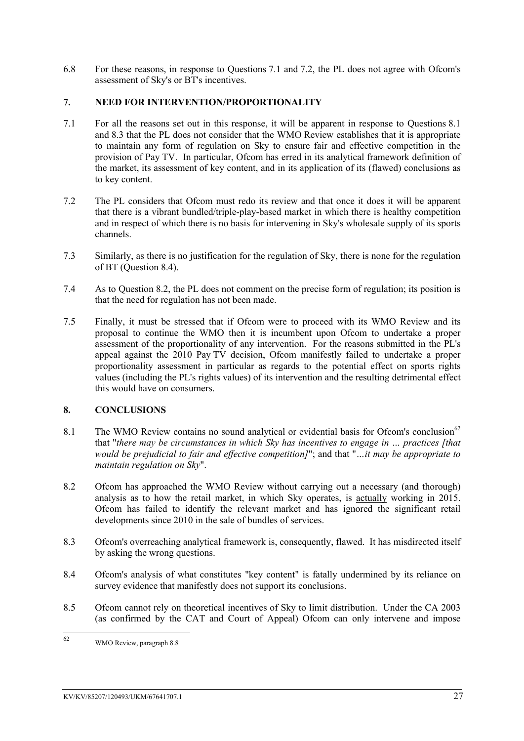6.8 For these reasons, in response to Questions 7.1 and 7.2, the PL does not agree with Ofcom's assessment of Sky's or BT's incentives.

### <span id="page-28-0"></span>**7. NEED FOR INTERVENTION/PROPORTIONALITY**

- 7.1 For all the reasons set out in this response, it will be apparent in response to Questions 8.1 and 8.3 that the PL does not consider that the WMO Review establishes that it is appropriate to maintain any form of regulation on Sky to ensure fair and effective competition in the provision of Pay TV. In particular, Ofcom has erred in its analytical framework definition of the market, its assessment of key content, and in its application of its (flawed) conclusions as to key content.
- 7.2 The PL considers that Ofcom must redo its review and that once it does it will be apparent that there is a vibrant bundled/triple-play-based market in which there is healthy competition and in respect of which there is no basis for intervening in Sky's wholesale supply of its sports channels.
- 7.3 Similarly, as there is no justification for the regulation of Sky, there is none for the regulation of BT (Question 8.4).
- 7.4 As to Question 8.2, the PL does not comment on the precise form of regulation; its position is that the need for regulation has not been made.
- 7.5 Finally, it must be stressed that if Ofcom were to proceed with its WMO Review and its proposal to continue the WMO then it is incumbent upon Ofcom to undertake a proper assessment of the proportionality of any intervention. For the reasons submitted in the PL's appeal against the 2010 Pay TV decision, Ofcom manifestly failed to undertake a proper proportionality assessment in particular as regards to the potential effect on sports rights values (including the PL's rights values) of its intervention and the resulting detrimental effect this would have on consumers.

### <span id="page-28-1"></span>**8. CONCLUSIONS**

- 8.1 The WMO Review contains no sound analytical or evidential basis for Ofcom's conclusion<sup>62</sup> that "*there may be circumstances in which Sky has incentives to engage in … practices [that would be prejudicial to fair and effective competition]*"; and that "*…it may be appropriate to maintain regulation on Sky*".
- 8.2 Ofcom has approached the WMO Review without carrying out a necessary (and thorough) analysis as to how the retail market, in which Sky operates, is actually working in 2015. Ofcom has failed to identify the relevant market and has ignored the significant retail developments since 2010 in the sale of bundles of services.
- 8.3 Ofcom's overreaching analytical framework is, consequently, flawed. It has misdirected itself by asking the wrong questions.
- 8.4 Ofcom's analysis of what constitutes "key content" is fatally undermined by its reliance on survey evidence that manifestly does not support its conclusions.
- 8.5 Ofcom cannot rely on theoretical incentives of Sky to limit distribution. Under the CA 2003 (as confirmed by the CAT and Court of Appeal) Ofcom can only intervene and impose

<sup>62</sup> WMO Review, paragraph 8.8